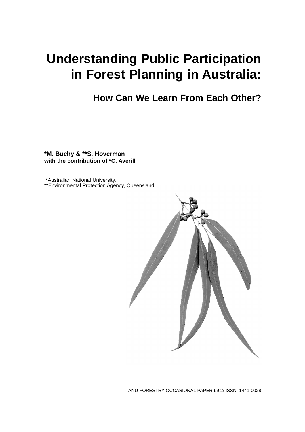# **Understanding Public Participation in Forest Planning in Australia:**

# **How Can We Learn From Each Other?**

**\*M. Buchy & \*\*S. Hoverman with the contribution of \*C. Averill**

\*Australian National University, \*\*Environmental Protection Agency, Queensland

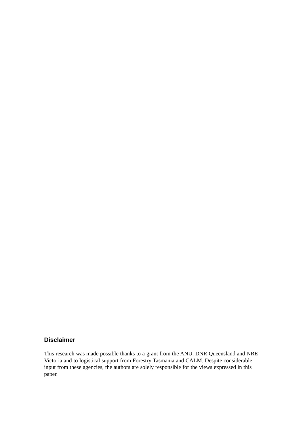## **Disclaimer**

This research was made possible thanks to a grant from the ANU, DNR Queensland and NRE Victoria and to logistical support from Forestry Tasmania and CALM. Despite considerable input from these agencies, the authors are solely responsible for the views expressed in this paper.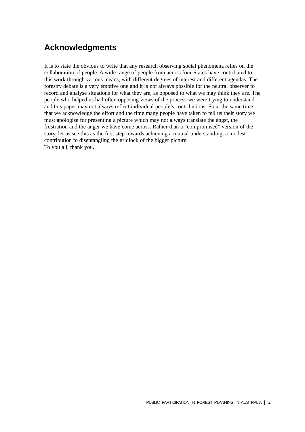# **Acknowledgments**

It is to state the obvious to write that any research observing social phenomena relies on the collaboration of people. A wide range of people from across four States have contributed to this work through various means, with different degrees of interest and different agendas. The forestry debate is a very emotive one and it is not always possible for the neutral observer to record and analyse situations for what they are, as opposed to what we may think they are. The people who helped us had often opposing views of the process we were trying to understand and this paper may not always reflect individual people's contributions. So at the same time that we acknowledge the effort and the time many people have taken to tell us their story we must apologise for presenting a picture which may not always translate the angst, the frustration and the anger we have come across. Rather than a "compromised" version of the story, let us see this as the first step towards achieving a mutual understanding, a modest contribution to disentangling the gridlock of the bigger picture. To you all, thank you.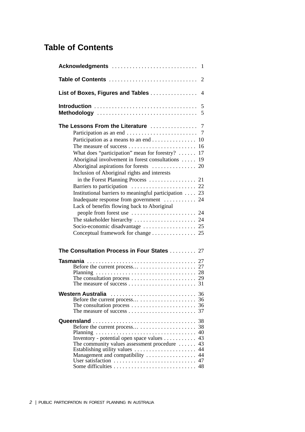# **Table of Contents**

| Table of Contents<br>2                                                                                                                                                                                                                                                                                                                                                                                           |  |  |  |
|------------------------------------------------------------------------------------------------------------------------------------------------------------------------------------------------------------------------------------------------------------------------------------------------------------------------------------------------------------------------------------------------------------------|--|--|--|
| List of Boxes, Figures and Tables<br>4                                                                                                                                                                                                                                                                                                                                                                           |  |  |  |
| 5<br>Methodology                                                                                                                                                                                                                                                                                                                                                                                                 |  |  |  |
| Participation as a means to an end<br>10<br>16<br>What does "participation" mean for forestry? $\dots$ .<br>17<br>Aboriginal involvement in forest consultations<br>19<br>Inclusion of Aboriginal rights and interests<br>Institutional barriers to meaningful participation  23<br>Inadequate response from government  24<br>Lack of benefits flowing back to Aboriginal<br>Conceptual framework for change 25 |  |  |  |
| The Consultation Process in Four States  27                                                                                                                                                                                                                                                                                                                                                                      |  |  |  |
| The consultation process $\dots \dots \dots \dots \dots \dots \dots \dots$ 29                                                                                                                                                                                                                                                                                                                                    |  |  |  |
| Western Australia<br>36<br>36<br>37                                                                                                                                                                                                                                                                                                                                                                              |  |  |  |
| 38<br>38<br>40<br>Inventory - potential open space values<br>43<br>43<br>The community values assessment procedure $\dots$ .<br>44<br>Establishing utility values<br>Management and compatibility<br>44<br>User satisfaction<br>47<br>Some difficulties<br>48                                                                                                                                                    |  |  |  |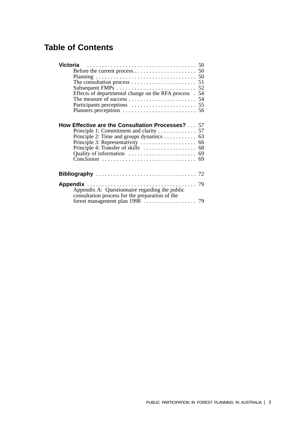# **Table of Contents**

| Victoria                                                                                                                                      |  |
|-----------------------------------------------------------------------------------------------------------------------------------------------|--|
|                                                                                                                                               |  |
|                                                                                                                                               |  |
|                                                                                                                                               |  |
|                                                                                                                                               |  |
| Effects of departmental change on the RFA process . 54                                                                                        |  |
|                                                                                                                                               |  |
|                                                                                                                                               |  |
|                                                                                                                                               |  |
| <b>How Effective are the Consultation Processes?</b> 57<br>Principle 1: Commitment and clarity 57<br>Principle 2: Time and groups dynamics 63 |  |
|                                                                                                                                               |  |
| Appendix A: Questionnaire regarding the public<br>consultation process for the preparation of the                                             |  |
|                                                                                                                                               |  |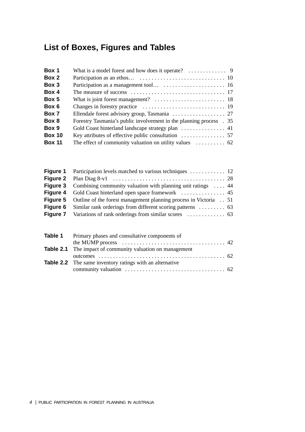# **List of Boxes, Figures and Tables**

| Box 1         |                                                                            |
|---------------|----------------------------------------------------------------------------|
| Box 2         |                                                                            |
| Box 3         |                                                                            |
| Box 4         |                                                                            |
| Box 5         |                                                                            |
| Box 6         |                                                                            |
| Box 7         |                                                                            |
| Box 8         | Forestry Tasmania's public involvement in the planning process . 35        |
| Box 9         |                                                                            |
| <b>Box 10</b> |                                                                            |
| <b>Box 11</b> | The effect of community valuation on utility values $\dots \dots \dots$ 62 |

| <b>Figure 3</b> Combining community valuation with planning unit ratings  44     |  |
|----------------------------------------------------------------------------------|--|
|                                                                                  |  |
| <b>Figure 5</b> Outline of the forest management planning process in Victoria 51 |  |
| <b>Figure 6</b> Similar rank orderings from different scoring patterns  63       |  |
|                                                                                  |  |

| <b>Table 1</b> Primary phases and consultative components of     |  |
|------------------------------------------------------------------|--|
|                                                                  |  |
| <b>Table 2.1</b> The impact of community valuation on management |  |
|                                                                  |  |
| <b>Table 2.2</b> The same inventory ratings with an alternative  |  |
|                                                                  |  |
|                                                                  |  |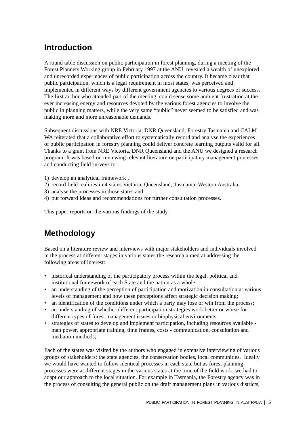# **Introduction**

A round table discussion on public participation in forest planning, during a meeting of the Forest Planners Working group in February 1997 at the ANU, revealed a wealth of unexplored and unrecorded experiences of public participation across the country. It became clear that public participation, which is a legal requirement in most states, was perceived and implemented in different ways by different government agencies to various degrees of success. The first author who attended part of the meeting, could sense some ambient frustration at the ever increasing energy and resources devoted by the various forest agencies to involve the public in planning matters, while the very same "public" never seemed to be satisfied and was making more and more unreasonable demands.

Subsequent discussions with NRE Victoria, DNR Queensland, Forestry Tasmania and CALM WA reiterated that a collaborative effort to systematically record and analyse the experiences of public participation in forestry planning could deliver concrete learning outputs valid for all. Thanks to a grant from NRE Victoria, DNR Queensland and the ANU we designed a research program. It was based on reviewing relevant literature on participatory management processes and conducting field surveys to

- 1) develop an analytical framework ,
- 2) record field realities in 4 states Victoria, Queensland, Tasmania, Western Australia
- 3) analyse the processes in those states and
- 4) put forward ideas and recommendations for further consultation processes.

This paper reports on the various findings of the study.

# **Methodology**

Based on a literature review and interviews with major stakeholders and individuals involved in the process at different stages in various states the research aimed at addressing the following areas of interest:

- historical understanding of the participatory process within the legal, political and institutional framework of each State and the nation as a whole;
- an understanding of the perception of participation and motivation in consultation at various levels of management and how these perceptions affect strategic decision making;
- an identification of the conditions under which a party may lose or win from the process;
- an understanding of whether different participation strategies work better or worse for different types of forest management issues or biophysical environments.
- strategies of states to develop and implement participation, including resources available man power, appropriate training, time frames, costs - communication, consultation and mediation methods;

Each of the states was visited by the authors who engaged in extensive interviewing of various groups of stakeholders: the state agencies, the conservation bodies, local communities. Ideally we would have wanted to follow identical processes in each state but as forest planning processes were at different stages in the various states at the time of the field work, we had to adapt our approach to the local situation. For example in Tasmania, the Forestry agency was in the process of consulting the general public on the draft management plans in various districts,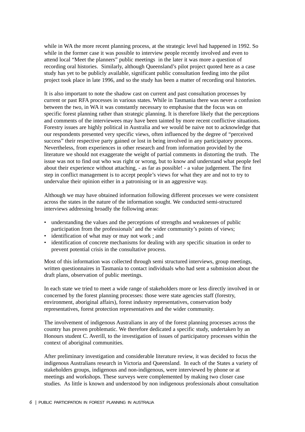while in WA the more recent planning process, at the strategic level had happened in 1992. So while in the former case it was possible to interview people recently involved and even to attend local "Meet the planners" public meetings in the later it was more a question of recording oral histories. Similarly, although Queensland's pilot project quoted here as a case study has yet to be publicly available, significant public consultation feeding into the pilot project took place in late 1996, and so the study has been a matter of recording oral histories.

It is also important to note the shadow cast on current and past consultation processes by current or past RFA processes in various states. While in Tasmania there was never a confusion between the two, in WA it was constantly necessary to emphasise that the focus was on specific forest planning rather than strategic planning. It is therefore likely that the perceptions and comments of the interviewees may have been tainted by more recent conflictive situations. Forestry issues are highly political in Australia and we would be naive not to acknowledge that our respondents presented very specific views, often influenced by the degree of "perceived success" their respective party gained or lost in being involved in any participatory process. Nevertheless, from experiences in other research and from information provided by the literature we should not exaggerate the weight of partial comments in distorting the truth. The issue was not to find out who was right or wrong, but to know and understand what people feel about their experience without attaching, - as far as possible! - a value judgement. The first step in conflict management is to accept people's views for what they are and not to try to undervalue their opinion either in a patronising or in an aggressive way.

Although we may have obtained information following different processes we were consistent across the states in the nature of the information sought. We conducted semi-structured interviews addressing broadly the following areas:

- understanding the values and the perceptions of strengths and weaknesses of public participation from the professionals' and the wider community's points of views;
- identification of what may or may not work; and
- identification of concrete mechanisms for dealing with any specific situation in order to prevent potential crisis in the consultative process.

Most of this information was collected through semi structured interviews, group meetings, written questionnaires in Tasmania to contact individuals who had sent a submission about the draft plans, observation of public meetings.

In each state we tried to meet a wide range of stakeholders more or less directly involved in or concerned by the forest planning processes: those were state agencies staff (forestry, environment, aboriginal affairs), forest industry representatives, conservation body representatives, forest protection representatives and the wider community.

The involvement of indigenous Australians in any of the forest planning processes across the country has proven problematic. We therefore dedicated a specific study, undertaken by an Honours student C. Averill, to the investigation of issues of participatory processes within the context of aboriginal communities.

After preliminary investigation and considerable literature review, it was decided to focus the indigenous Australians research in Victoria and Queensland. In each of the States a variety of stakeholders groups, indigenous and non-indigenous, were interviewed by phone or at meetings and workshops. These surveys were complemented by making two closer case studies. As little is known and understood by non indigenous professionals about consultation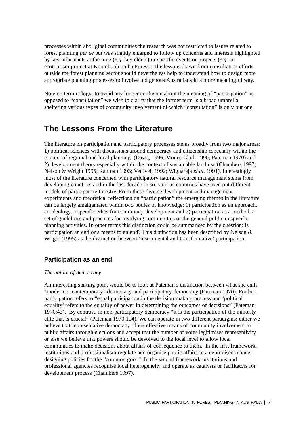processes within aboriginal communities the research was not restricted to issues related to forest planning *per se* but was slightly enlarged to follow up concerns and interests highlighted by key informants at the time (*e.g*. key elders) or specific events or projects (*e.g*. an ecotourism project at Koombooloomba Forest). The lessons drawn from consultation efforts outside the forest planning sector should nevertheless help to understand how to design more appropriate planning processes to involve indigenous Australians in a more meaningful way.

Note on terminology: to avoid any longer confusion about the meaning of "participation" as opposed to "consultation" we wish to clarify that the former term is a broad umbrella sheltering various types of community involvement of which "consultation" is only but one.

# **The Lessons From the Literature**

The literature on participation and participatory processes stems broadly from two major areas: 1) political sciences with discussions around democracy and citizenship especially within the context of regional and local planning (Davis, 1996; Munro-Clark 1990; Pateman 1970) and 2) development theory especially within the context of sustainable land use (Chambers 1997; Nelson & Wright 1995; Rahman 1993; Vettivel, 1992; Wignaraja *et al*. 1991). Interestingly most of the literature concerned with participatory natural resource management stems from developing countries and in the last decade or so, various countries have tried out different models of participatory forestry. From these diverse development and management experiments and theoretical reflections on "participation" the emerging themes in the literature can be largely amalgamated within two bodies of knowledge: 1) participation as an approach, an ideology, a specific ethos for community development and 2) participation as a method, a set of guidelines and practices for involving communities or the general public in specific planning activities. In other terms this distinction could be summarised by the question: is participation an end or a means to an end? This distinction has been described by Nelson & Wright (1995) as the distinction between 'instrumental and transformative' participation.

### **Participation as an end**

#### *The nature of democracy*

An interesting starting point would be to look at Pateman's distinction between what she calls "modern or contemporary" democracy and participatory democracy (Pateman 1970). For her, participation refers to "equal participation in the decision making process and 'political equality' refers to the equality of power in determining the outcomes of decisions" (Pateman 1970:43). By contrast, in non-participatory democracy "it is the participation of the minority elite that is crucial" (Pateman 1970:104). We can operate in two different paradigms: either we believe that representative democracy offers effective means of community involvement in public affairs through elections and accept that the number of votes legitimises representivity or else we believe that powers should be devolved to the local level to allow local communities to make decisions about affairs of consequence to them. In the first framework, institutions and professionalism regulate and organise public affairs in a centralised manner designing policies for the "common good". In the second framework institutions and professional agencies recognise local heterogeneity and operate as catalysts or facilitators for development process (Chambers 1997).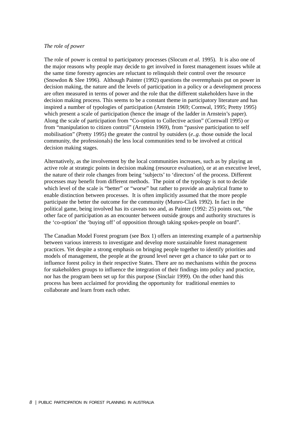#### *The role of power*

The role of power is central to participatory processes (Slocum *et al.* 1995). It is also one of the major reasons why people may decide to get involved in forest management issues while at the same time forestry agencies are reluctant to relinquish their control over the resource (Snowdon & Slee 1996). Although Painter (1992) questions the overemphasis put on power in decision making, the nature and the levels of participation in a policy or a development process are often measured in terms of power and the role that the different stakeholders have in the decision making process. This seems to be a constant theme in participatory literature and has inspired a number of typologies of participation (Arnstein 1969; Cornwal, 1995; Pretty 1995) which present a scale of participation (hence the image of the ladder in Arnstein's paper). Along the scale of participation from "Co-option to Collective action" (Cornwall 1995) or from "manipulation to citizen control" (Arnstein 1969), from "passive participation to self mobilisation" (Pretty 1995) the greater the control by outsiders (*e..g*. those outside the local community, the professionals) the less local communities tend to be involved at critical decision making stages.

Alternatively, as the involvement by the local communities increases, such as by playing an active role at strategic points in decision making (resource evaluation), or at an executive level, the nature of their role changes from being 'subjects' to 'directors' of the process. Different processes may benefit from different methods. The point of the typology is not to decide which level of the scale is "better" or "worse" but rather to provide an analytical frame to enable distinction between processes. It is often implicitly assumed that the more people participate the better the outcome for the community (Munro-Clark 1992). In fact in the political game, being involved has its caveats too and, as Painter (1992: 25) points out, "the other face of participation as an encounter between outside groups and authority structures is the 'co-option' the 'buying off' of opposition through taking spokes-people on board".

The Canadian Model Forest program (see Box 1) offers an interesting example of a partnership between various interests to investigate and develop more sustainable forest management practices. Yet despite a strong emphasis on bringing people together to identify priorities and models of management, the people at the ground level never get a chance to take part or to influence forest policy in their respective States. There are no mechanisms within the process for stakeholders groups to influence the integration of their findings into policy and practice, nor has the program been set up for this purpose (Sinclair 1999). On the other hand this process has been acclaimed for providing the opportunity for traditional enemies to collaborate and learn from each other.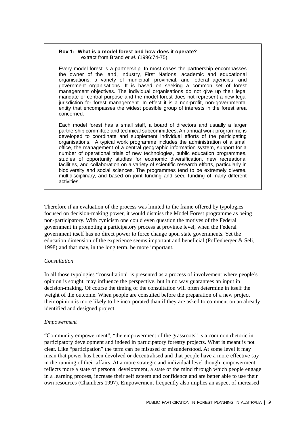#### **Box 1: What is a model forest and how does it operate?** extract from Brand et al. (1996:74-75)

Every model forest is a partnership. In most cases the partnership encompasses the owner of the land, industry, First Nations, academic and educational organisations, a variety of municipal, provincial, and federal agencies, and government organisations. It is based on seeking a common set of forest management objectives. The individual organisations do not give up their legal mandate or central purpose and the model forest does not represent a new legal jurisdiction for forest management. In effect it is a non-profit, non-governmental entity that encompasses the widest possible group of interests in the forest area concerned.

Each model forest has a small staff, a board of directors and usually a larger partnership committee and technical subcommittees. An annual work programme is developed to coordinate and supplement individual efforts of the participating organisations. A typical work programme includes the administration of a small office, the management of a central geographic information system, support for a number of operational trials of new technologies, public education programmes, studies of opportunity studies for economic diversification, new recreational facilities, and collaboration on a variety of scientific research efforts, particularly in biodiversity and social sciences. The programmes tend to be extremely diverse, multidisciplinary, and based on joint funding and seed funding of many different activities.

Therefore if an evaluation of the process was limited to the frame offered by typologies focused on decision-making power, it would dismiss the Model Forest programme as being non-participatory. With cynicism one could even question the motives of the Federal government in promoting a participatory process at province level, when the Federal government itself has no direct power to force change upon state governments. Yet the education dimension of the experience seems important and beneficial (Poffenberger & Seli, 1998) and that may, in the long term, be more important.

#### *Consultation*

In all those typologies "consultation" is presented as a process of involvement where people's opinion is sought, may influence the perspective, but in no way guarantees an input in decision-making. Of course the timing of the consultation will often determine in itself the weight of the outcome. When people are consulted before the preparation of a new project their opinion is more likely to be incorporated than if they are asked to comment on an already identified and designed project.

#### *Empowerment*

"Community empowerment", "the empowerment of the grassroots" is a common rhetoric in participatory development and indeed in participatory forestry projects. What is meant is not clear. Like "participation" the term can be misused or misunderstood. At some level it may mean that power has been devolved or decentralised and that people have a more effective say in the running of their affairs. At a more strategic and individual level though, empowerment reflects more a state of personal development, a state of the mind through which people engage in a learning process, increase their self esteem and confidence and are better able to use their own resources (Chambers 1997). Empowerment frequently also implies an aspect of increased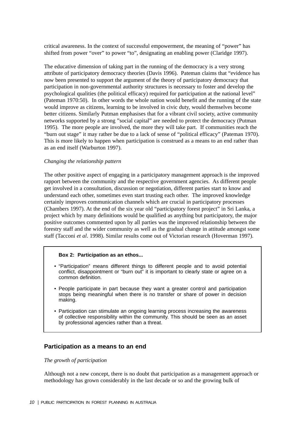critical awareness. In the context of successful empowerment, the meaning of "power" has shifted from power "over" to power "to", designating an enabling power (Claridge 1997).

The educative dimension of taking part in the running of the democracy is a very strong attribute of participatory democracy theories (Davis 1996). Pateman claims that "evidence has now been presented to support the argument of the theory of participatory democracy that participation in non-governmental authority structures is necessary to foster and develop the psychological qualities (the political efficacy) required for participation at the national level" (Pateman 1970:50). In other words the whole nation would benefit and the running of the state would improve as citizens, learning to be involved in civic duty, would themselves become better citizens. Similarly Putman emphasises that for a vibrant civil society, active community networks supported by a strong "social capital" are needed to protect the democracy (Putman 1995). The more people are involved, the more they will take part. If communities reach the "burn out stage" it may rather be due to a lack of sense of "political efficacy" (Pateman 1970). This is more likely to happen when participation is construed as a means to an end rather than as an end itself (Warburton 1997).

#### *Changing the relationship pattern*

The other positive aspect of engaging in a participatory management approach is the improved rapport between the community and the respective government agencies. As different people get involved in a consultation, discussion or negotiation, different parties start to know and understand each other, sometimes even start trusting each other. The improved knowledge certainly improves communication channels which are crucial in participatory processes (Chambers 1997). At the end of the six year old "participatory forest project" in Sri Lanka, a project which by many definitions would be qualified as anything but participatory, the major positive outcomes commented upon by all parties was the improved relationship between the forestry staff and the wider community as well as the gradual change in attitude amongst some staff (Tacconi *et al*. 1998). Similar results come out of Victorian research (Hoverman 1997).

#### **Box 2: Participation as an ethos...**

- "Participation" means different things to different people and to avoid potential conflict, disappointment or "burn out" it is important to clearly state or agree on a common definition.
- People participate in part because they want a greater control and participation stops being meaningful when there is no transfer or share of power in decision making.
- Participation can stimulate an ongoing learning process increasing the awareness of collective responsibility within the community. This should be seen as an asset by professional agencies rather than a threat.

#### **Participation as a means to an end**

#### *The growth of participation*

Although not a new concept, there is no doubt that participation as a management approach or methodology has grown considerably in the last decade or so and the growing bulk of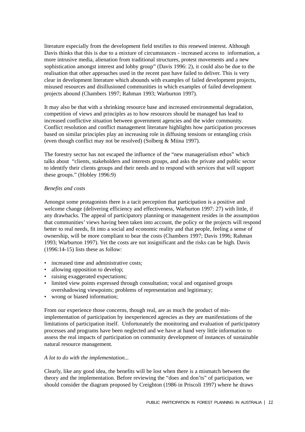literature especially from the development field testifies to this renewed interest. Although Davis thinks that this is due to a mixture of circumstances - increased access to information, a more intrusive media, alienation from traditional structures, protest movements and a new sophistication amongst interest and lobby group" (Davis 1996: 2), it could also be due to the realisation that other approaches used in the recent past have failed to deliver. This is very clear in development literature which abounds with examples of failed development projects, misused resources and disillusioned communities in which examples of failed development projects abound (Chambers 1997; Rahman 1993; Warburton 1997).

It may also be that with a shrinking resource base and increased environmental degradation, competition of views and principles as to how resources should be managed has lead to increased conflictive situation between government agencies and the wider community. Conflict resolution and conflict management literature highlights how participation processes based on similar principles play an increasing role in diffusing tensions or entangling crisis (even though conflict may not be resolved) (Solberg & Miina 1997).

The forestry sector has not escaped the influence of the "new managerialism ethos" which talks about "clients, stakeholders and interests groups, and asks the private and public sector to identify their clients groups and their needs and to respond with services that will support these groups." (Hobley 1996:9)

#### *Benefits and costs*

Amongst some protagonists there is a tacit perception that participation is a positive and welcome change (delivering efficiency and effectiveness, Warburton 1997: 27) with little, if any drawbacks. The appeal of participatory planning or management resides in the assumption that communities' views having been taken into account, the policy or the projects will respond better to real needs, fit into a social and economic reality and that people, feeling a sense of ownership, will be more compliant to bear the costs (Chambers 1997; Davis 1996; Rahman 1993; Warburton 1997). Yet the costs are not insignificant and the risks can be high. Davis (1996:14-15) lists these as follow:

- increased time and administrative costs;
- allowing opposition to develop;
- raising exaggerated expectations;
- limited view points expressed through consultation; vocal and organised groups overshadowing viewpoints; problems of representation and legitimacy;
- wrong or biased information;

From our experience those concerns, though real, are as much the product of misimplementation of participation by inexperienced agencies as they are manifestations of the limitations of participation itself. Unfortunately the monitoring and evaluation of participatory processes and programs have been neglected and we have at hand very little information to assess the real impacts of participation on community development of instances of sustainable natural resource management.

#### *A lot to do with the implementation...*

Clearly, like any good idea, the benefits will be lost when there is a mismatch between the theory and the implementation. Before reviewing the "does and don'ts" of participation, we should consider the diagram proposed by Creighton (1986 in Priscoli 1997) where he draws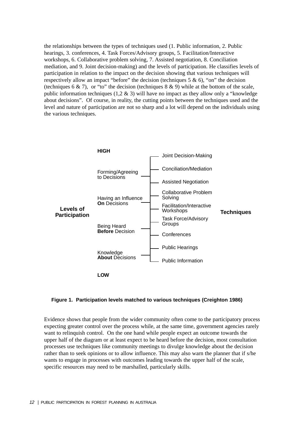the relationships between the types of techniques used (1. Public information, 2. Public hearings, 3. conferences, 4. Task Forces/Advisory groups, 5. Facilitation/Interactive workshops, 6. Collaborative problem solving, 7. Assisted negotiation, 8. Conciliation mediation, and 9. Joint decision-making) and the levels of participation. He classifies levels of participation in relation to the impact on the decision showing that various techniques will respectively allow an impact "before" the decision (techniques 5  $\&$  6), "on" the decision (techniques 6  $\&$  7), or "to" the decision (techniques 8  $\&$  9) while at the bottom of the scale, public information techniques (1,2  $\&$  3) will have no impact as they allow only a "knowledge" about decisions". Of course, in reality, the cutting points between the techniques used and the level and nature of participation are not so sharp and a lot will depend on the individuals using the various techniques.



#### **Figure 1. Participation levels matched to various techniques (Creighton 1986)**

Evidence shows that people from the wider community often come to the participatory process expecting greater control over the process while, at the same time, government agencies rarely want to relinquish control. On the one hand while people expect an outcome towards the upper half of the diagram or at least expect to be heard before the decision, most consultation processes use techniques like community meetings to divulge knowledge about the decision rather than to seek opinions or to allow influence. This may also warn the planner that if s/he wants to engage in processes with outcomes leading towards the upper half of the scale, specific resources may need to be marshalled, particularly skills.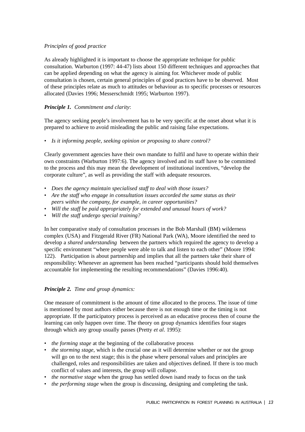### *Principles of good practice*

As already highlighted it is important to choose the appropriate technique for public consultation. Warburton (1997: 44-47) lists about 150 different techniques and approaches that can be applied depending on what the agency is aiming for. Whichever mode of public consultation is chosen, certain general principles of good practices have to be observed. Most of these principles relate as much to attitudes or behaviour as to specific processes or resources allocated (Davies 1996; Messerschmidt 1995; Warburton 1997).

### *Principle 1. Commitment and clarity*:

The agency seeking people's involvement has to be very specific at the onset about what it is prepared to achieve to avoid misleading the public and raising false expectations.

• *Is it informing people, seeking opinion or proposing to share control?*

Clearly government agencies have their own mandate to fulfil and have to operate within their own constraints (Warburton 1997:6). The agency involved and its staff have to be committed to the process and this may mean the development of institutional incentives, "develop the corporate culture", as well as providing the staff with adequate resources.

- *Does the agency maintain specialised staff to deal with those issues?*
- *Are the staff who engage in consultation issues accorded the same status as their peers within the company, for example, in career opportunities?*
- *Will the staff be paid appropriately for extended and unusual hours of work?*
- *Will the staff undergo special training?*

In her comparative study of consultation processes in the Bob Marshall (BM) wilderness complex (USA) and Fitzgerald River (FR) National Park (WA), Moore identified the need to develop a *shared understanding* between the partners which required the agency to develop a specific environment "where people were able to talk and listen to each other" (Moore 1994: 122). Participation is about partnership and implies that all the partners take their share of responsibility: Whenever an agreement has been reached "participants should hold themselves accountable for implementing the resulting recommendations" (Davies 1996:40).

### *Principle 2. Time and group dynamics:*

One measure of commitment is the amount of time allocated to the process. The issue of time is mentioned by most authors either because there is not enough time or the timing is not appropriate. If the participatory process is perceived as an educative process then of course the learning can only happen over time. The theory on group dynamics identifies four stages through which any group usually passes (Pretty *et al*. 1995):

- *the forming stage* at the beginning of the collaborative process
- *the storming stage*, which is the crucial one as it will determine whether or not the group will go on to the next stage; this is the phase where personal values and principles are challenged, roles and responsibilities are taken and objectives defined. If there is too much conflict of values and interests, the group will collapse.
- *the normative stage* when the group has settled down isand ready to focus on the task
- *the performing stage* when the group is discussing, designing and completing the task.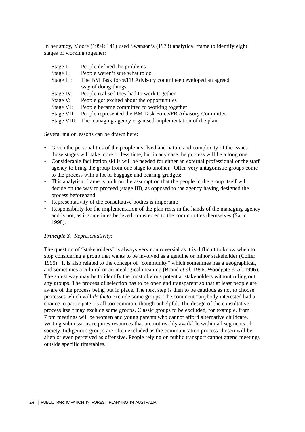In her study, Moore (1994: 141) used Swanson's (1973) analytical frame to identify eight stages of working together:

| Stage I:   | People defined the problems                                          |  |
|------------|----------------------------------------------------------------------|--|
| Stage II:  | People weren't sure what to do                                       |  |
| Stage III: | The BM Task force/FR Advisory committee developed an agreed          |  |
|            | way of doing things                                                  |  |
| Stage IV:  | People realised they had to work together                            |  |
| Stage V:   | People got excited about the opportunities                           |  |
| Stage VI:  | People became committed to working together                          |  |
| Stage VII: | People represented the BM Task Force/FR Advisory Committee           |  |
|            | Stage VIII: The managing agency organised implementation of the plan |  |

Several major lessons can be drawn here:

- Given the personalities of the people involved and nature and complexity of the issues those stages will take more or less time, but in any case the process will be a long one;
- Considerable facilitation skills will be needed for either an external professional or the staff agency to bring the group from one stage to another. Often very antagonistic groups come to the process with a lot of baggage and bearing grudges;
- This analytical frame is built on the assumption that the people in the group itself will decide on the way to proceed (stage III), as opposed to the agency having designed the process beforehand;
- Representativity of the consultative bodies is important;
- Responsibility for the implementation of the plan rests in the hands of the managing agency and is not, as it sometimes believed, transferred to the communities themselves (Sarin 1998).

#### *Principle 3. Representativity:*

The question of "stakeholders" is always very controversial as it is difficult to know when to stop considering a group that wants to be involved as a genuine or minor stakeholder (Colfer 1995). It is also related to the concept of "community" which sometimes has a geographical, and sometimes a cultural or an ideological meaning (Brand *et al*. 1996; Woodgate *et al.* 1996). The safest way may be to identify the most obvious potential stakeholders without ruling out any groups. The process of selection has to be open and transparent so that at least people are aware of the process being put in place. The next step is then to be cautious as not to choose processes which will *de facto* exclude some groups. The comment "anybody interested had a chance to participate" is all too common, though unhelpful. The design of the consultative process itself may exclude some groups. Classic groups to be excluded, for example, from 7 pm meetings will be women and young parents who cannot afford alternative childcare. Writing submissions requires resources that are not readily available within all segments of society. Indigenous groups are often excluded as the communication process chosen will be alien or even perceived as offensive. People relying on public transport cannot attend meetings outside specific timetables.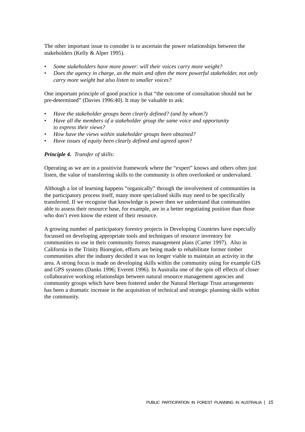The other important issue to consider is to ascertain the power relationships between the stakeholders (Kelly & Alper 1995).

- *Some stakeholders have more power: will their voices carry more weight?*
- *Does the agency in charge, as the main and often the more powerful stakeholder, not only carry more weight but also listen to smaller voices?*

One important principle of good practice is that "the outcome of consultation should not be pre-determined" (Davies 1996:40). It may be valuable to ask:

- *Have the stakeholder groups been clearly defined? (and by whom?)*
- *Have all the members of a stakeholder group the same voice and opportunity to express their views?*
- *How have the views within stakeholder groups been obtained?*
- *Have issues of equity been clearly defined and agreed upon?*

#### *Principle 4. Transfer of skills:*

Operating as we are in a positivist framework where the "expert" knows and others often just listen, the value of transferring skills to the community is often overlooked or undervalued.

Although a lot of learning happens "organically" through the involvement of communities in the participatory process itself, many more specialised skills may need to be specifically transferred. If we recognise that knowledge is power then we understand that communities able to assess their resource base, for example, are in a better negotiating position than those who don't even know the extent of their resource.

A growing number of participatory forestry projects in Developing Countries have especially focussed on developing appropriate tools and techniques of resource inventory for communities to use in their community forests management plans (Carter 1997). Also in California in the Trinity Bioregion, efforts are being made to rehabilitate former timber communities after the industry decided it was no longer viable to maintain an activity in the area. A strong focus is made on developing skills within the community using for example GIS and GPS systems (Danks 1996; Everett 1996). In Australia one of the spin off effects of closer collaborative working relationships between natural resource management agencies and community groups which have been fostered under the Natural Heritage Trust arrangements has been a dramatic increase in the acquisition of technical and strategic planning skills within the community.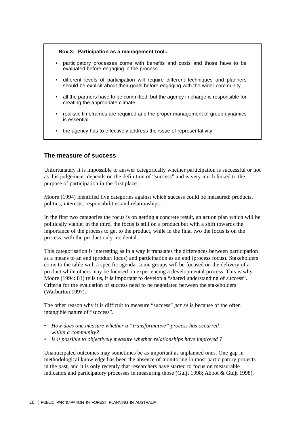#### **Box 3: Participation as a management tool...**

- participatory processes come with benefits and costs and those have to be evaluated before engaging in the process
- different levels of participation will require different techniques and planners should be explicit about their goals before engaging with the wider community
- all the partners have to be committed, but the agency in charge is responsible for creating the appropriate climate
- realistic timeframes are required and the proper management of group dynamics is essential
- the agency has to effectively address the issue of representativity

#### **The measure of success**

Unfortunately it is impossible to answer categorically whether participation is successful or not as this judgement depends on the definition of "success" and is very much linked to the purpose of participation in the first place.

Moore (1994) identified five categories against which success could be measured: products, politics, interests, responsibilities and relationships.

In the first two categories the focus is on getting a concrete result, an action plan which will be politically viable; in the third, the focus is still on a product but with a shift towards the importance of the process to get to the product, while in the final two the focus is on the process, with the product only incidental.

This categorisation is interesting as in a way it translates the differences between participation as a means to an end (product focus) and participation as an end (process focus). Stakeholders come to the table with a specific agenda: some groups will be focused on the delivery of a product while others may be focused on experiencing a developmental process. This is why, Moore (1994: 81) tells us, it is important to develop a "shared understanding of success". Criteria for the evaluation of success need to be negotiated between the stakeholders (Warburton 1997).

The other reason why it is difficult to measure "success" *per se* is because of the often intangible nature of "success".

- *How does one measure whether a "transformative" process has occurred within a community?*
- *Is it possible to objectively measure whether relationships have improved ?*

Unanticipated outcomes may sometimes be as important as unplanned ones. One gap in methodological knowledge has been the absence of monitoring in most participatory projects in the past, and it is only recently that researchers have started to focus on measurable indicators and participatory processes in measuring those (Guijt 1998; Abbot & Guijt 1998).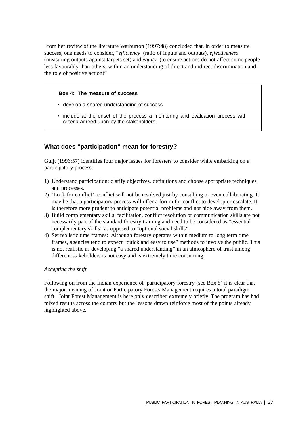From her review of the literature Warburton (1997:48) concluded that, in order to measure success, one needs to consider, "*efficiency* (ratio of inputs and outputs), *effectiveness* (measuring outputs against targets set) and *equity* (to ensure actions do not affect some people less favourably than others, within an understanding of direct and indirect discrimination and the role of positive action)"

#### **Box 4: The measure of success**

- develop a shared understanding of success
- include at the onset of the process a monitoring and evaluation process with criteria agreed upon by the stakeholders.

# **What does "participation" mean for forestry?**

Guijt (1996:57) identifies four major issues for foresters to consider while embarking on a participatory process:

- 1) Understand participation: clarify objectives, definitions and choose appropriate techniques and processes.
- 2) 'Look for conflict': conflict will not be resolved just by consulting or even collaborating. It may be that a participatory process will offer a forum for conflict to develop or escalate. It is therefore more prudent to anticipate potential problems and not hide away from them.
- 3) Build complementary skills: facilitation, conflict resolution or communication skills are not necessarily part of the standard forestry training and need to be considered as "essential complementary skills" as opposed to "optional social skills".
- 4) Set realistic time frames: Although forestry operates within medium to long term time frames, agencies tend to expect "quick and easy to use" methods to involve the public. This is not realistic as developing "a shared understanding" in an atmosphere of trust among different stakeholders is not easy and is extremely time consuming.

#### *Accepting the shift*

Following on from the Indian experience of participatory forestry (see Box 5) it is clear that the major meaning of Joint or Participatory Forests Management requires a total paradigm shift. Joint Forest Management is here only described extremely briefly. The program has had mixed results across the country but the lessons drawn reinforce most of the points already highlighted above.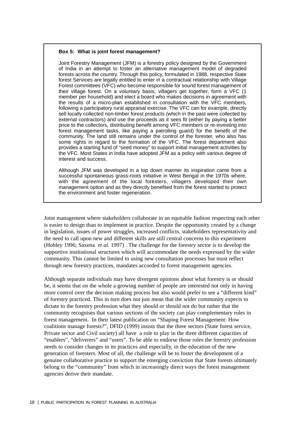#### **Box 5: What is joint forest management?**

Joint Forestry Management (JFM) is a forestry policy designed by the Government of India in an attempt to foster an alternative management model of degraded forests across the country. Through this policy, formulated in 1988, respective State forest Services are legally entitled to enter in a contractual relationship with Village Forest committees (VFC) who become responsible for sound forest management of their village forest. On a voluntary basis, villagers get together, form a VFC (1 member per household) and elect a board who makes decisions in agreement with the results of a micro-plan established in consultation with the VFC members, following a participatory rural appraisal exercise. The VFC can for example, directly sell locally collected non-timber forest products (which in the past were collected by external contractors) and use the proceeds as it sees fit (either by paying a better price to the collectors, distributing benefit among VFC members or re-investing into forest management tasks, like paying a patrolling guard) for the benefit of the community. The land still remains under the control of the forester, who also has some rights in regard to the formation of the VFC. The forest department also provides a starting fund of "seed money" to support initial management activities by the VFC. Most States in India have adopted JFM as a policy with various degree of interest and success.

Although JFM was developed in a top down manner its inspiration came from a successful spontaneous grass-roots initiative in West Bengal in the 1970s where, with the agreement of the local foresters, villagers developed their own management option and as they directly benefited from the forest started to protect the environment and foster regeneration.

Joint management where stakeholders collaborate in an equitable fashion respecting each other is easier to design than to implement in practice. Despite the opportunity created by a change in legislation, issues of power struggles, increased conflicts, stakeholders representativity and the need to call upon new and different skills are still central concerns to this experiment (Hobley 1996; Saxena *et al*. 1997) . The challenge for the forestry sector is to develop the supportive institutional structures which will accommodate the needs expressed by the wider community. This cannot be limited to using new consultation processes but must reflect through new forestry practices, mandates accorded to forest management agencies.

Although separate individuals may have divergent opinions about what forestry is or should be, it seems that on the whole a growing number of people are interested not only in having more control over the decision making process but also would prefer to see a "different kind" of forestry practiced. This in turn does not just mean that the wider community expects to dictate to the forestry profession what they should or should not do but rather that the community recognises that various sections of the society can play complementary roles in forest management. In their latest publication on "Shaping Forest Management: How coalitions manage forests?", DFID (1999) insists that the three sectors (State forest service, Private sector and Civil society) all have a role to play in the three different capacities of "enablers", "deliverers" and "users". To be able to endorse those roles the forestry profession needs to consider changes in its practices and especially, in the education of the new generation of foresters. Most of all, the challenge will be to foster the development of a genuine collaborative practice to support the emerging conviction that State forests ultimately belong to the "community" from which in increasingly direct ways the forest management agencies derive their mandate.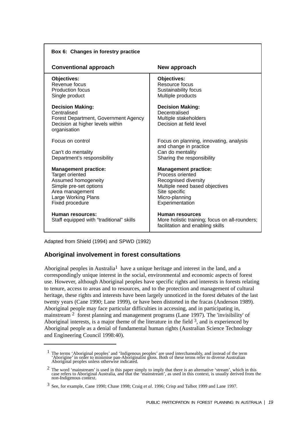| Box 6: Changes in forestry practice                                                                                                                          |                                                                                                                                                                 |  |  |
|--------------------------------------------------------------------------------------------------------------------------------------------------------------|-----------------------------------------------------------------------------------------------------------------------------------------------------------------|--|--|
| <b>Conventional approach</b>                                                                                                                                 | New approach                                                                                                                                                    |  |  |
| Objectives:<br>Revenue focus<br><b>Production focus</b><br>Single product                                                                                    | <b>Objectives:</b><br>Resource focus<br>Sustainability focus<br>Multiple products                                                                               |  |  |
| <b>Decision Making:</b><br>Centralised<br>Forest Department, Government Agency<br>Decision at higher levels within<br>organisation                           | <b>Decision Making:</b><br>Decentralised<br>Multiple stakeholders<br>Decision at field level                                                                    |  |  |
| Focus on control<br>Can't do mentality<br>Department's responsibility                                                                                        | Focus on planning, innovating, analysis<br>and change in practice<br>Can do mentality<br>Sharing the responsibility                                             |  |  |
| <b>Management practice:</b><br>Target oriented<br>Assumed homogeneity<br>Simple pre-set options<br>Area management<br>Large Working Plans<br>Fixed procedure | <b>Management practice:</b><br>Process oriented<br>Recognised diversity<br>Multiple need based objectives<br>Site specific<br>Micro-planning<br>Experimentation |  |  |
| Human resources:<br>Staff equipped with "traditional" skills                                                                                                 | Human resources<br>More holistic training; focus on all-rounders;<br>facilitation and enabling skills                                                           |  |  |

Adapted from Shield (1994) and SPWD (1992)

# **Aboriginal involvement in forest consultations**

Aboriginal peoples in Australia<sup>1</sup> have a unique heritage and interest in the land, and a correspondingly unique interest in the social, environmental and economic aspects of forest use. However, although Aboriginal peoples have specific rights and interests in forests relating to tenure, access to areas and to resources, and to the protection and management of cultural heritage, these rights and interests have been largely unnoticed in the forest debates of the last twenty years (Cane 1990; Lane 1999), or have been distorted in the fracas (Anderson 1989). Aboriginal people may face particular difficulties in accessing, and in participating in, mainstream 2 forest planning and management programs (Lane 1997). The 'invisibility' of Aboriginal interests, is a major theme of the literature in the field  $3$ , and is experienced by Aboriginal people as a denial of fundamental human rights (Australian Science Technology and Engineering Council 1998:40).

<sup>&</sup>lt;sup>1</sup> The terms 'Aboriginal peoples' and 'Indigenous peoples' are used interchaneably, and instead of the term 'Aborigine' in order to minimise pan-Aboriginalist gloss. Both of these terms refer to diverse Australian Aboriginal peoples unless otherwise indicated.

 $2$  The word 'mainstream' is used in this paper simply to imply that there is an alternative 'stream', which in this case refers to Aboriginal Australia, and that the 'mainstream', as used in this context, is usually derived from the non-Indigenous context.

<sup>3</sup> See, for example, Cane 1990; Chase 1998; Craig *et al*. 1996; Crisp and Talbot 1999 and Lane 1997.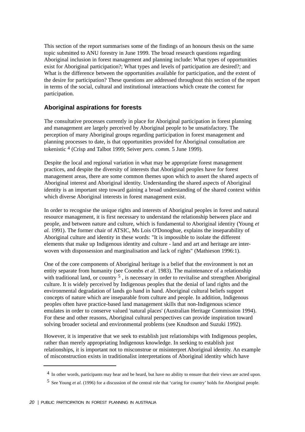This section of the report summarises some of the findings of an honours thesis on the same topic submitted to ANU forestry in June 1999. The broad research questions regarding Aboriginal inclusion in forest management and planning include: What types of opportunities exist for Aboriginal participation?; What types and levels of participation are desired?; and What is the difference between the opportunities available for participation, and the extent of the desire for participation? These questions are addressed throughout this section of the report in terms of the social, cultural and institutional interactions which create the context for participation.

# **Aboriginal aspirations for forests**

The consultative processes currently in place for Aboriginal participation in forest planning and management are largely perceived by Aboriginal people to be unsatisfactory. The perception of many Aboriginal groups regarding participation in forest management and planning processes to date, is that opportunities provided for Aboriginal consultation are tokenistic 4 (Crisp and Talbot 1999; Seiver *pers. comm.* 5 June 1999).

Despite the local and regional variation in what may be appropriate forest management practices, and despite the diversity of interests that Aboriginal peoples have for forest management areas, there are some common themes upon which to assert the shared aspects of Aboriginal interest and Aboriginal identity. Understanding the shared aspects of Aboriginal identity is an important step toward gaining a broad understanding of the shared context within which diverse Aboriginal interests in forest management exist.

In order to recognise the unique rights and interests of Aboriginal peoples in forest and natural resource management, it is first necessary to understand the relationship between place and people, and between nature and culture, which is fundamental to Aboriginal identity (Young *et al.* 1991). The former chair of ATSIC, Ms Lois O'Donoghue, explains the inseparability of Aboriginal culture and identity in these words: "It is impossible to isolate the different elements that make up Indigenous identity and culture - land and art and heritage are interwoven with dispossession and marginalisation and lack of rights" (Mathieson 1996:1).

One of the core components of Aboriginal heritage is a belief that the environment is not an entity separate from humanity (see Coombs *et al*. 1983). The maintenance of a relationship with traditional land, or country <sup>5</sup>, is necessary in order to revitalise and strengthen Aboriginal culture. It is widely perceived by Indigenous peoples that the denial of land rights and the environmental degradation of lands go hand in hand. Aboriginal cultural beliefs support concepts of nature which are inseparable from culture and people. In addition, Indigenous peoples often have practice-based land management skills that non-Indigenous science emulates in order to conserve valued 'natural places' (Australian Heritage Commission 1994). For these and other reasons, Aboriginal cultural perspectives can provide inspiration toward solving broader societal and environmental problems (see Knudtson and Suzuki 1992).

However, it is imperative that we seek to establish just relationships with Indigenous peoples, rather than merely appropriating Indigenous knowledge. In seeking to establish just relationships, it is important not to misconstrue or misinterpret Aboriginal identity. An example of misconstruction exists in traditionalist interpretations of Aboriginal identity which have

<sup>4</sup> In other words, participants may hear and be heard, but have no ability to ensure that their views are acted upon.

<sup>5</sup> See Young *et al*. (1996) for a discussion of the central role that 'caring for country' holds for Aboriginal people.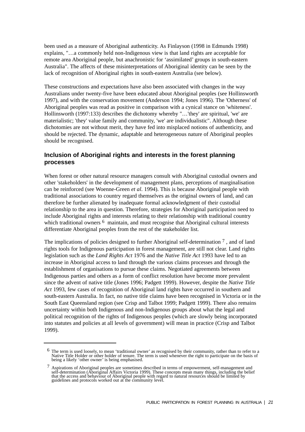been used as a measure of Aboriginal authenticity. As Finlayson (1998 in Edmunds 1998) explains, "…a commonly held non-Indigenous view is that land rights are acceptable for remote area Aboriginal people, but anachronistic for 'assimilated' groups in south-eastern Australia". The affects of these misinterpretations of Aboriginal identity can be seen by the lack of recognition of Aboriginal rights in south-eastern Australia (see below).

These constructions and expectations have also been associated with changes in the way Australians under twenty-five have been educated about Aboriginal peoples (see Hollinsworth 1997), and with the conservation movement (Anderson 1994; Jones 1996). The 'Otherness' of Aboriginal peoples was read as positive in comparison with a cynical stance on 'whiteness'. Hollinsworth (1997:133) describes the dichotomy whereby "…'they' are spiritual, 'we' are materialistic; 'they' value family and community, 'we' are individualistic". Although these dichotomies are not without merit, they have fed into misplaced notions of authenticity, and should be rejected. The dynamic, adaptable and heterogeneous nature of Aboriginal peoples should be recognised.

# **Inclusion of Aboriginal rights and interests in the forest planning processes**

When forest or other natural resource managers consult with Aboriginal custodial owners and other 'stakeholders' in the development of management plans, perceptions of marginalisation can be reinforced (see Woenne-Green *et al*. 1994). This is because Aboriginal people with traditional associations to country regard themselves as the original owners of land, and can therefore be further alienated by inadequate formal acknowledgment of their custodial relationship to the area in question. Therefore, strategies for Aboriginal participation need to include Aboriginal rights and interests relating to their relationship with traditional country which traditional owners <sup>6</sup> maintain, and must recognise that Aboriginal cultural interests differentiate Aboriginal peoples from the rest of the stakeholder list.

The implications of policies designed to further Aboriginal self-determination  $\frac{7}{1}$ , and of land rights tools for Indigenous participation in forest management, are still not clear. Land rights legislation such as the *Land Rights Act* 1976 and the *Native Title Act* 1993 have led to an increase in Aboriginal access to land through the various claims processes and through the establishment of organisations to pursue these claims. Negotiated agreements between Indigenous parties and others as a form of conflict resolution have become more prevalent since the advent of native title (Jones 1996; Padgett 1999). However, despite the *Native Title Act* 1993, few cases of recognition of Aboriginal land rights have occurred in southern and south-eastern Australia. In fact, no native title claims have been recognised in Victoria or in the South East Queensland region (see Crisp and Talbot 1999; Padgett 1999). There also remains uncertainty within both Indigenous and non-Indigenous groups about what the legal and political recognition of the rights of Indigenous peoples (which are slowly being incorporated into statutes and policies at all levels of government) will mean in practice (Crisp and Talbot 1999).

 $^6$  The term is used loosely, to mean 'traditional owner' as recognised by their community, rather than to refer to a Native Title Holder or other holder of tenure. The term is used whenever the right to participate on the basis of being a likely 'other owner' is being emphasised.

<sup>7</sup> Aspirations of Aboriginal peoples are sometimes described in terms of empowerment, self-management and self-determination (Aboriginal Affairs Victoria 1999). These concepts mean many things, including the belief that the access and behaviour of Aboriginal people with regard to natural resources should be limited by guidelines and protocols worked out at the community level.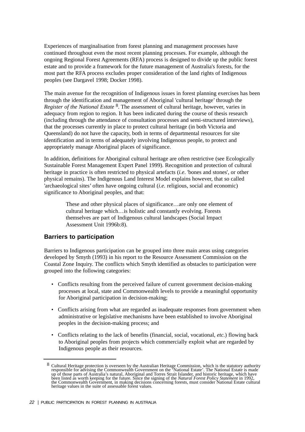Experiences of marginalisation from forest planning and management processes have continued throughout even the most recent planning processes. For example, although the ongoing Regional Forest Agreements (RFA) process is designed to divide up the public forest estate and to provide a framework for the future management of Australia's forests, for the most part the RFA process excludes proper consideration of the land rights of Indigenous peoples (see Dargavel 1998; Docker 1998).

The main avenue for the recognition of Indigenous issues in forest planning exercises has been through the identification and management of Aboriginal 'cultural heritage' through the *Register of the National Estate* 8. The assessment of cultural heritage, however, varies in adequacy from region to region. It has been indicated during the course of thesis research (including through the attendance of consultation processes and semi-structured interviews), that the processes currently in place to protect cultural heritage (in both Victoria and Queensland) do not have the capacity, both in terms of departmental resources for site identification and in terms of adequately involving Indigenous people, to protect and appropriately manage Aboriginal places of significance.

In addition, definitions for Aboriginal cultural heritage are often restrictive (see Ecologically Sustainable Forest Management Expert Panel 1999). Recognition and protection of cultural heritage in practice is often restricted to physical artefacts (*i.e*. 'bones and stones', or other physical remains). The Indigenous Land Interest Model explains however, that so called 'archaeological sites' often have ongoing cultural (*i.e.* religious, social and economic) significance to Aboriginal peoples, and that:

> These and other physical places of significance…are only one element of cultural heritage which…is holistic and constantly evolving. Forests themselves are part of Indigenous cultural landscapes (Social Impact Assessment Unit 1996b:8).

### **Barriers to participation**

Barriers to Indigenous participation can be grouped into three main areas using categories developed by Smyth (1993) in his report to the Resource Assessment Commission on the Coastal Zone Inquiry. The conflicts which Smyth identified as obstacles to participation were grouped into the following categories:

- Conflicts resulting from the perceived failure of current government decision-making processes at local, state and Commonwealth levels to provide a meaningful opportunity for Aboriginal participation in decision-making;
- Conflicts arising from what are regarded as inadequate responses from government when administrative or legislative mechanisms have been established to involve Aboriginal peoples in the decision-making process; and
- Conflicts relating to the lack of benefits (financial, social, vocational, *etc.*) flowing back to Aboriginal peoples from projects which commercially exploit what are regarded by Indigenous people as their resources.

 $8$  Cultural Heritage protection is overseen by the Australian Heritage Commission, which is the statutory authority responsible for advising the Commonwealth Government on the 'National Estate'. The National Estate is made up of those parts of Australia's natural, Aboriginal and Torres Strait Islander, and historic heritage, which have been listed as worth keeping for the future. Since the signing of the *Natural Forest Policy Statement* in 1992, the Commonwealth Government, in making decisions concerning forests, must consider National Estate cultural heritage values in the suite of assessable forest values.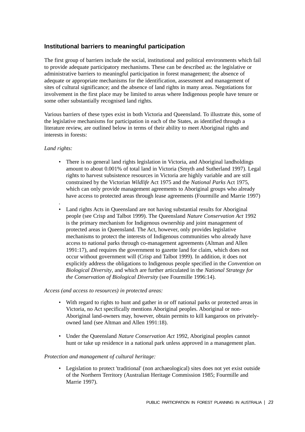# **Institutional barriers to meaningful participation**

The first group of barriers include the social, institutional and political environments which fail to provide adequate participatory mechanisms. These can be described as: the legislative or administrative barriers to meaningful participation in forest management; the absence of adequate or appropriate mechanisms for the identification, assessment and management of sites of cultural significance; and the absence of land rights in many areas. Negotiations for involvement in the first place may be limited to areas where Indigenous people have tenure or some other substantially recognised land rights.

Various barriers of these types exist in both Victoria and Queensland. To illustrate this, some of the legislative mechanisms for participation in each of the States, as identified through a literature review, are outlined below in terms of their ability to meet Aboriginal rights and interests in forests:

### *Land rights:*

.

- There is no general land rights legislation in Victoria, and Aboriginal landholdings amount to about 0.001% of total land in Victoria (Smyth and Sutherland 1997). Legal rights to harvest subsistence resources in Victoria are highly variable and are still constrained by the Victorian *Wildlife* Act 1975 and the *National Parks* Act 1975, which can only provide management agreements to Aboriginal groups who already have access to protected areas through lease agreements (Fourmille and Marrie 1997)
- Land rights Acts in Queensland are not having substantial results for Aboriginal people (see Crisp and Talbot 1999). The Queensland *Nature Conservation Act* 1992 is the primary mechanism for Indigenous ownership and joint management of protected areas in Queensland. The Act, however, only provides legislative mechanisms to protect the interests of Indigenous communities who already have access to national parks through co-management agreements (Altman and Allen 1991:17), and requires the government to gazette land for claim, which does not occur without government will (Crisp and Talbot 1999). In addition, it does not explicitly address the obligations to Indigenous people specified in the *Convention on Biological Diversity*, and which are further articulated in the *National Strategy for the Conservation of Biological Diversity* (see Fourmille 1996:14).

#### *Access (and access to resources) in protected areas:*

- With regard to rights to hunt and gather in or off national parks or protected areas in Victoria, no Act specifically mentions Aboriginal peoples. Aboriginal or non-Aboriginal land-owners may, however, obtain permits to kill kangaroos on privatelyowned land (see Altman and Allen 1991:18).
- Under the Queensland *Nature Conservation Act* 1992, Aboriginal peoples cannot hunt or take up residence in a national park unless approved in a management plan.

#### *Protection and management of cultural heritage:*

• Legislation to protect 'traditional' (non archaeological) sites does not yet exist outside of the Northern Territory (Australian Heritage Commission 1985; Fourmille and Marrie 1997).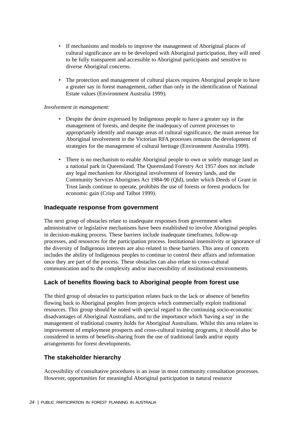- If mechanisms and models to improve the management of Aboriginal places of cultural significance are to be developed with Aboriginal participation, they will need to be fully transparent and accessible to Aboriginal participants and sensitive to diverse Aboriginal concerns.
- The protection and management of cultural places requires Aboriginal people to have a greater say in forest management, rather than only in the identification of National Estate values (Environment Australia 1999).

#### *Involvement in management:*

- Despite the desire expressed by Indigenous people to have a greater say in the management of forests, and despite the inadequacy of current processes to appropriately identify and manage areas of cultural significance, the main avenue for Aboriginal involvement in the Victorian RFA processes remains the development of strategies for the management of cultural heritage (Environment Australia 1999).
- There is no mechanism to enable Aboriginal people to own or solely manage land as a national park in Queensland. The Queensland Forestry Act 1957 does not include any legal mechanism for Aboriginal involvement of forestry lands, and the Community Services Aborigines Act 1984-90 (Qld), under which Deeds of Grant in Trust lands continue to operate, prohibits the use of forests or forest products for economic gain (Crisp and Talbot 1999).

#### **Inadequate response from government**

The next group of obstacles relate to inadequate responses from government when administrative or legislative mechanisms have been established to involve Aboriginal peoples in decision-making process. These barriers include inadequate timeframes, follow-up processes, and resources for the participation process. Institutional insensitivity or ignorance of the diversity of Indigenous interests are also related to these barriers. This area of concern includes the ability of Indigenous peoples to continue to control their affairs and information once they are part of the process. These obstacles can also relate to cross-cultural communication and to the complexity and/or inaccessibility of institutional environments.

### **Lack of benefits flowing back to Aboriginal people from forest use**

The third group of obstacles to participation relates back to the lack or absence of benefits flowing back to Aboriginal peoples from projects which commercially exploit traditional resources. This group should be noted with special regard to the continuing socio-economic disadvantages of Aboriginal Australians, and to the importance which 'having a say' in the management of traditional country holds for Aboriginal Australians. Whilst this area relates to improvement of employment prospects and cross-cultural training programs, it should also be considered in terms of benefits-sharing from the use of traditional lands and/or equity arrangements for forest developments.

### **The stakeholder hierarchy**

Accessibility of consultative procedures is an issue in most community consultation processes. However, opportunities for meaningful Aboriginal participation in natural resource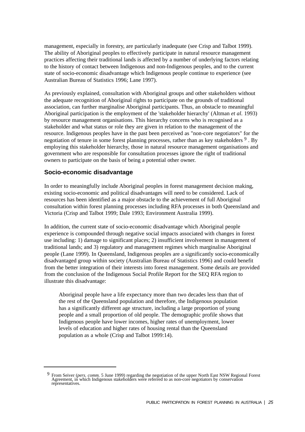management, especially in forestry, are particularly inadequate (see Crisp and Talbot 1999). The ability of Aboriginal peoples to effectively participate in natural resource management practices affecting their traditional lands is affected by a number of underlying factors relating to the history of contact between Indigenous and non-Indigenous peoples, and to the current state of socio-economic disadvantage which Indigenous people continue to experience (see Australian Bureau of Statistics 1996; Lane 1997).

As previously explained, consultation with Aboriginal groups and other stakeholders without the adequate recognition of Aboriginal rights to participate on the grounds of traditional association, can further marginalise Aboriginal participants. Thus, an obstacle to meaningful Aboriginal participation is the employment of the 'stakeholder hierarchy' (Altman *et al*. 1993) by resource management organisations. This hierarchy concerns who is recognised as a stakeholder and what status or role they are given in relation to the management of the resource. Indigenous peoples have in the past been perceived as "non-core negotiators" for the negotiation of tenure in some forest planning processes, rather than as key stakeholders  $9$ . By employing this stakeholder hierarchy, those in natural resource management organisations and government who are responsible for consultation processes ignore the right of traditional owners to participate on the basis of being a potential other owner.

### **Socio-economic disadvantage**

In order to meaningfully include Aboriginal peoples in forest management decision making, existing socio-economic and political disadvantages will need to be considered. Lack of resources has been identified as a major obstacle to the achievement of full Aboriginal consultation within forest planning processes including RFA processes in both Queensland and Victoria (Crisp and Talbot 1999; Dale 1993; Environment Australia 1999).

In addition, the current state of socio-economic disadvantage which Aboriginal people experience is compounded through negative social impacts associated with changes in forest use including: 1) damage to significant places; 2) insufficient involvement in management of traditional lands; and 3) regulatory and management regimes which marginalise Aboriginal people (Lane 1999). In Queensland, Indigenous peoples are a significantly socio-economically disadvantaged group within society (Australian Bureau of Statistics 1996) and could benefit from the better integration of their interests into forest management. Some details are provided from the conclusion of the Indigenous Social Profile Report for the SEQ RFA region to illustrate this disadvantage:

Aboriginal people have a life expectancy more than two decades less than that of the rest of the Queensland population and therefore, the Indigenous population has a significantly different age structure, including a large proportion of young people and a small proportion of old people. The demographic profile shows that Indigenous people have lower incomes, higher rates of unemployment, lower levels of education and higher rates of housing rental than the Queensland population as a whole (Crisp and Talbot 1999:14).

<sup>9</sup> From Seiver (*pers. comm.* 5 June 1999) regarding the negotiation of the upper North East NSW Regional Forest Agreement, in which Indigenous stakeholders were referred to as non-core negotiators by conservation representatives.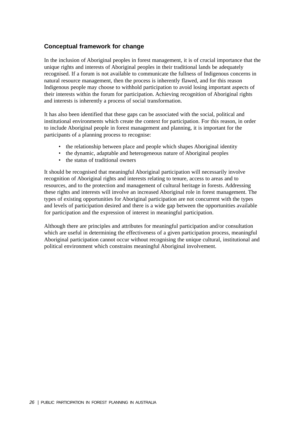# **Conceptual framework for change**

In the inclusion of Aboriginal peoples in forest management, it is of crucial importance that the unique rights and interests of Aboriginal peoples in their traditional lands be adequately recognised. If a forum is not available to communicate the fullness of Indigenous concerns in natural resource management, then the process is inherently flawed, and for this reason Indigenous people may choose to withhold participation to avoid losing important aspects of their interests within the forum for participation. Achieving recognition of Aboriginal rights and interests is inherently a process of social transformation.

It has also been identified that these gaps can be associated with the social, political and institutional environments which create the context for participation. For this reason, in order to include Aboriginal people in forest management and planning, it is important for the participants of a planning process to recognise:

- the relationship between place and people which shapes Aboriginal identity
- the dynamic, adaptable and heterogeneous nature of Aboriginal peoples
- the status of traditional owners

It should be recognised that meaningful Aboriginal participation will necessarily involve recognition of Aboriginal rights and interests relating to tenure, access to areas and to resources, and to the protection and management of cultural heritage in forests. Addressing these rights and interests will involve an increased Aboriginal role in forest management. The types of existing opportunities for Aboriginal participation are not concurrent with the types and levels of participation desired and there is a wide gap between the opportunities available for participation and the expression of interest in meaningful participation.

Although there are principles and attributes for meaningful participation and/or consultation which are useful in determining the effectiveness of a given participation process, meaningful Aboriginal participation cannot occur without recognising the unique cultural, institutional and political environment which constrains meaningful Aboriginal involvement.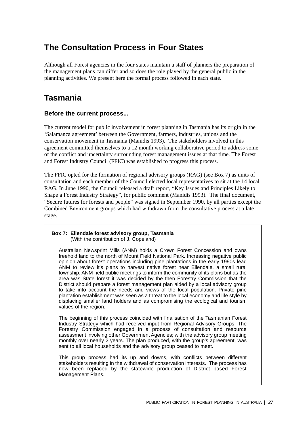# **The Consultation Process in Four States**

Although all Forest agencies in the four states maintain a staff of planners the preparation of the management plans can differ and so does the role played by the general public in the planning activities. We present here the formal process followed in each state.

# **Tasmania**

## **Before the current process...**

The current model for public involvement in forest planning in Tasmania has its origin in the 'Salamanca agreement' between the Government, farmers, industries, unions and the conservation movement in Tasmania (Manidis 1993). The stakeholders involved in this agreement committed themselves to a 12 month working collaborative period to address some of the conflict and uncertainty surrounding forest management issues at that time. The Forest and Forest Industry Council (FFIC) was established to progress this process.

The FFIC opted for the formation of regional advisory groups (RAG) (see Box 7) as units of consultation and each member of the Council elected local representatives to sit at the 14 local RAG. In June 1990, the Council released a draft report, "Key Issues and Principles Likely to Shape a Forest Industry Strategy", for public comment (Manidis 1993). The final document, "Secure futures for forests and people" was signed in September 1990, by all parties except the Combined Environment groups which had withdrawn from the consultative process at a late stage.

#### **Box 7: Ellendale forest advisory group, Tasmania** (With the contribution of J. Copeland)

Australian Newsprint Mills (ANM) holds a Crown Forest Concession and owns freehold land to the north of Mount Field National Park. Increasing negative public opinion about forest operations including pine plantations in the early 1990s lead ANM to review it's plans to harvest native forest near Ellendale, a small rural township. ANM held public meetings to inform the community of its plans but as the area was State forest it was decided by the then Forestry Commission that the District should prepare a forest management plan aided by a local advisory group to take into account the needs and views of the local population. Private pine plantation establishment was seen as a threat to the local economy and life style by displacing smaller land holders and as compromising the ecological and tourism values of the region.

The beginning of this process coincided with finalisation of the Tasmanian Forest Industry Strategy which had received input from Regional Advisory Groups. The Forestry Commission engaged in a process of consultation and resource assessment involving other Government Agencies; with the advisory group meeting monthly over nearly 2 years. The plan produced, with the group's agreement, was sent to all local households and the advisory group ceased to meet.

This group process had its up and downs, with conflicts between different stakeholders resulting in the withdrawal of conservation interests. The process has now been replaced by the statewide production of District based Forest Management Plans.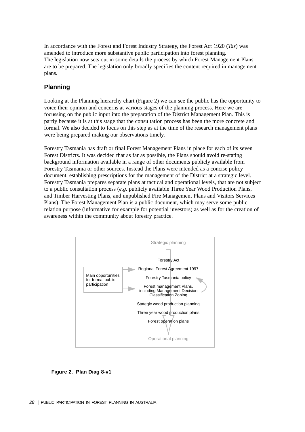In accordance with the Forest and Forest Industry Strategy, the Forest Act 1920 (*Tas*) was amended to introduce more substantive public participation into forest planning. The legislation now sets out in some details the process by which Forest Management Plans are to be prepared. The legislation only broadly specifies the content required in management plans.

# **Planning**

Looking at the Planning hierarchy chart (Figure 2) we can see the public has the opportunity to voice their opinion and concerns at various stages of the planning process. Here we are focussing on the public input into the preparation of the District Management Plan. This is partly because it is at this stage that the consultation process has been the more concrete and formal. We also decided to focus on this step as at the time of the research management plans were being prepared making our observations timely.

Forestry Tasmania has draft or final Forest Management Plans in place for each of its seven Forest Districts. It was decided that as far as possible, the Plans should avoid re-stating background information available in a range of other documents publicly available from Forestry Tasmania or other sources. Instead the Plans were intended as a concise policy document, establishing prescriptions for the management of the District at a strategic level. Forestry Tasmania prepares separate plans at tactical and operational levels, that are not subject to a public consultation process (*e.g.* publicly available Three Year Wood Production Plans, and Timber Harvesting Plans, and unpublished Fire Management Plans and Visitors Services Plans). The Forest Management Plan is a public document, which may serve some public relation purpose (informative for example for potential investors) as well as for the creation of awareness within the community about forestry practice.



**Figure 2. Plan Diag 8-v1**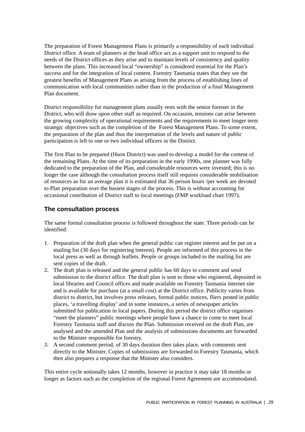The preparation of Forest Management Plans is primarily a responsibility of each individual District office. A team of planners at the head office act as a support unit to respond to the needs of the District offices as they arise and to maintain levels of consistency and quality between the plans. This increased local "ownership" is considered essential for the Plan's success and for the integration of local content. Forestry Tasmania states that they see the greatest benefits of Management Plans as arising from the process of establishing lines of communication with local communities rather than in the production of a final Management Plan document.

District responsibility for management plans usually rests with the senior forester in the District, who will draw upon other staff as required. On occasion, tensions can arise between the growing complexity of operational requirements and the requirements to meet longer term strategic objectives such as the completion of the Forest Management Plans. To some extent, the preparation of the plan and thus the interpretation of the levels and nature of public participation is left to one or two individual officers in the District.

The first Plan to be prepared (Huon District) was used to develop a model for the content of the remaining Plans. At the time of its preparation in the early 1990s, one planner was fully dedicated to the preparation of the Plan, and considerable resources were invested; this is no longer the case although the consultation process itself still requires considerable mobilisation of resources as for an average plan it is estimated that 36 person hours /per week are devoted to Plan preparation over the busiest stages of the process. This is without accounting for occasional contribution of District staff to local meetings (FMP workload chart 1997).

## **The consultation process**

The same formal consultation process is followed throughout the state. Three periods can be identified:

- 1. Preparation of the draft plan when the general public can register interest and be put on a mailing list (30 days for registering interest). People are informed of this process in the local press as well as through leaflets. People or groups included in the mailing list are sent copies of the draft.
- 2. The draft plan is released and the general public has 60 days to comment and send submission to the district office. The draft plan is sent to those who registered, deposited in local libraries and Council offices and made available on Forestry Tasmania internet site and is available for purchase (at a small cost) at the District office. Publicity varies from district to district, but involves press releases, formal public notices, fliers posted in public places, 'a travelling display' and in some instances, a series of newspaper articles submitted for publication in local papers. During this period the district office organises "meet the planners" public meetings where people have a chance to come to meet local Forestry Tasmania staff and discuss the Plan. Submission received on the draft Plan, are analysed and the amended Plan and the analysis of submissions documents are forwarded to the Minister responsible for forestry.
- 3. A second comment period, of 30 days duration then takes place, with comments sent directly to the Minister. Copies of submissions are forwarded to Forestry Tasmania, which then also prepares a response that the Minister also considers.

This entire cycle notionally takes 12 months, however in practice it may take 18 months or longer as factors such as the completion of the regional Forest Agreement are accommodated.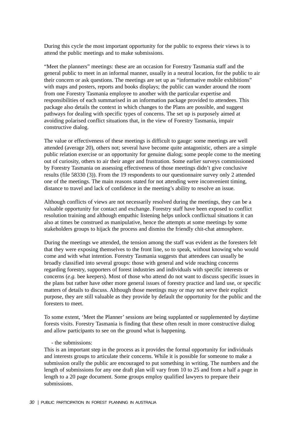During this cycle the most important opportunity for the public to express their views is to attend the public meetings and to make submissions.

"Meet the planners" meetings: these are an occasion for Forestry Tasmania staff and the general public to meet in an informal manner, usually in a neutral location, for the public to air their concern or ask questions. The meetings are set up as "informative mobile exhibitions" with maps and posters, reports and books displays; the public can wander around the room from one Forestry Tasmania employee to another with the particular expertise and responsibilities of each summarised in an information package provided to attendees. This package also details the context in which changes to the Plans are possible, and suggest pathways for dealing with specific types of concerns. The set up is purposely aimed at avoiding polarised conflict situations that, in the view of Forestry Tasmania, impair constructive dialog.

The value or effectiveness of these meetings is difficult to gauge: some meetings are well attended (average 20), others not; several have become quite antagonistic, others are a simple public relation exercise or an opportunity for genuine dialog; some people come to the meeting out of curiosity, others to air their anger and frustration. Some earlier surveys commissioned by Forestry Tasmania on assessing effectiveness of those meetings didn't give conclusive results (file 58330 (3)). From the 19 respondents to our questionnaire survey only 2 attended one of the meetings. The main reasons stated for not attending were inconvenient timing, distance to travel and lack of confidence in the meeting's ability to resolve an issue.

Although conflicts of views are not necessarily resolved during the meetings, they can be a valuable opportunity for contact and exchange. Forestry staff have been exposed to conflict resolution training and although empathic listening helps unlock conflictual situations it can also at times be construed as manipulative, hence the attempts at some meetings by some stakeholders groups to hijack the process and dismiss the friendly chit-chat atmosphere.

During the meetings we attended, the tension among the staff was evident as the foresters felt that they were exposing themselves to the front line, so to speak, without knowing who would come and with what intention. Forestry Tasmania suggests that attendees can usually be broadly classified into several groups: those with general and wide reaching concerns regarding forestry, supporters of forest industries and individuals with specific interests or concerns (*e.g.* bee keepers). Most of those who attend do not want to discuss specific issues in the plans but rather have other more general issues of forestry practice and land use, or specific matters of details to discuss. Although those meetings may or may not serve their explicit purpose, they are still valuable as they provide by default the opportunity for the public and the foresters to meet.

To some extent, 'Meet the Planner' sessions are being supplanted or supplemented by daytime forests visits. Forestry Tasmania is finding that these often result in more constructive dialog and allow participants to see on the ground what is happening.

#### - the submissions:

This is an important step in the process as it provides the formal opportunity for individuals and interests groups to articulate their concerns. While it is possible for someone to make a submission orally the public are encouraged to put something in writing. The numbers and the length of submissions for any one draft plan will vary from 10 to 25 and from a half a page in length to a 20 page document. Some groups employ qualified lawyers to prepare their submissions.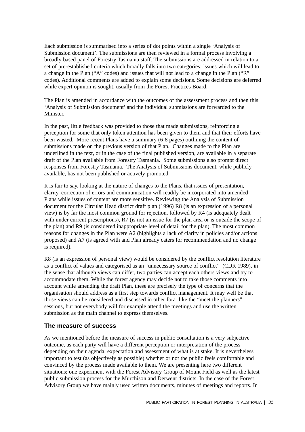Each submission is summarised into a series of dot points within a single 'Analysis of Submission document'. The submissions are then reviewed in a formal process involving a broadly based panel of Forestry Tasmania staff. The submissions are addressed in relation to a set of pre-established criteria which broadly falls into two categories: issues which will lead to a change in the Plan ("A" codes) and issues that will not lead to a change in the Plan ("R" codes). Additional comments are added to explain some decisions. Some decisions are deferred while expert opinion is sought, usually from the Forest Practices Board.

The Plan is amended in accordance with the outcomes of the assessment process and then this 'Analysis of Submission document' and the individual submissions are forwarded to the Minister.

In the past, little feedback was provided to those that made submissions, reinforcing a perception for some that only token attention has been given to them and that their efforts have been wasted. More recent Plans have a summary (6-8 pages) outlining the content of submissions made on the previous version of that Plan. Changes made to the Plan are underlined in the text, or in the case of the final published version, are available in a separate draft of the Plan available from Forestry Tasmania. Some submissions also prompt direct responses from Forestry Tasmania. The Analysis of Submissions document, while publicly available, has not been published or actively promoted.

It is fair to say, looking at the nature of changes to the Plans, that issues of presentation, clarity, correction of errors and communication will readily be incorporated into amended Plans while issues of content are more sensitive. Reviewing the Analysis of Submission document for the Circular Head district draft plan (1996) R8 (is an expression of a personal view) is by far the most common ground for rejection, followed by R4 (is adequately dealt with under current prescriptions), R7 (is not an issue for the plan area or is outside the scope of the plan) and R9 (is considered inappropriate level of detail for the plan). The most common reasons for changes in the Plan were A2 (highlights a lack of clarity in policies and/or actions proposed) and A7 (is agreed with and Plan already caters for recommendation and no change is required).

R8 (is an expression of personal view) would be considered by the conflict resolution literature as a conflict of values and categorised as an "unnecessary source of conflict" (CDR 1989), in the sense that although views can differ, two parties can accept each others views and try to accommodate them. While the forest agency may decide not to take those comments into account while amending the draft Plan, these are precisely the type of concerns that the organisation should address as a first step towards conflict management. It may well be that those views can be considered and discussed in other fora like the "meet the planners" sessions, but not everybody will for example attend the meetings and use the written submission as the main channel to express themselves.

#### **The measure of success**

As we mentioned before the measure of success in public consultation is a very subjective outcome, as each party will have a different perception or interpretation of the process depending on their agenda, expectation and assessment of what is at stake. It is nevertheless important to test (as objectively as possible) whether or not the public feels comfortable and convinced by the process made available to them. We are presenting here two different situations; one experiment with the Forest Advisory Group of Mount Field as well as the latest public submission process for the Murchison and Derwent districts. In the case of the Forest Advisory Group we have mainly used written documents, minutes of meetings and reports. In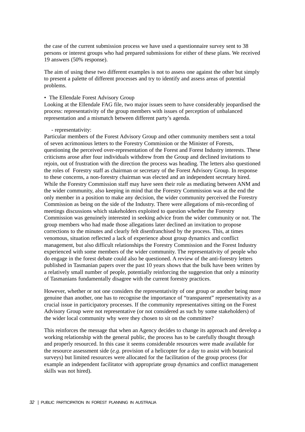the case of the current submission process we have used a questionnaire survey sent to 38 persons or interest groups who had prepared submissions for either of these plans. We received 19 answers (50% response).

The aim of using these two different examples is not to assess one against the other but simply to present a palette of different processes and try to identify and assess areas of potential problems.

#### • The Ellendale Forest Advisory Group

Looking at the Ellendale FAG file, two major issues seem to have considerably jeopardised the process: representativity of the group members with issues of perception of unbalanced representation and a mismatch between different party's agenda.

#### - representativity:

Particular members of the Forest Advisory Group and other community members sent a total of seven acrimonious letters to the Forestry Commission or the Minister of Forests, questioning the perceived over-representation of the Forest and Forest Industry interests. These criticisms arose after four individuals withdrew from the Group and declined invitations to rejoin, out of frustration with the direction the process was heading. The letters also questioned the roles of Forestry staff as chairman or secretary of the Forest Advisory Group. In response to these concerns, a non-forestry chairman was elected and an independent secretary hired. While the Forestry Commission staff may have seen their role as mediating between ANM and the wider community, also keeping in mind that the Forestry Commission was at the end the only member in a position to make any decision, the wider community perceived the Forestry Commission as being on the side of the Industry. There were allegations of mis-recording of meetings discussions which stakeholders exploited to question whether the Forestry Commission was genuinely interested in seeking advice from the wider community or not. The group members who had made those allegations later declined an invitation to propose corrections to the minutes and clearly felt disenfranchised by the process. This, at times venomous, situation reflected a lack of experience about group dynamics and conflict management, but also difficult relationships the Forestry Commission and the Forest Industry experienced with some members of the wider community. The representativity of people who do engage in the forest debate could also be questioned. A review of the anti-forestry letters published in Tasmanian papers over the past 10 years shows that the bulk have been written by a relatively small number of people, potentially reinforcing the suggestion that only a minority of Tasmanians fundamentally disagree with the current forestry practices.

However, whether or not one considers the representativity of one group or another being more genuine than another, one has to recognise the importance of "transparent" representativity as a crucial issue in participatory processes. If the community representatives sitting on the Forest Advisory Group were not representative (or not considered as such by some stakeholders) of the wider local community why were they chosen to sit on the committee?

This reinforces the message that when an Agency decides to change its approach and develop a working relationship with the general public, the process has to be carefully thought through and properly resourced. In this case it seems considerable resources were made available for the resource assessment side (*e.g*. provision of a helicopter for a day to assist with botanical surveys) but limited resources were allocated for the facilitation of the group process (for example an independent facilitator with appropriate group dynamics and conflict management skills was not hired).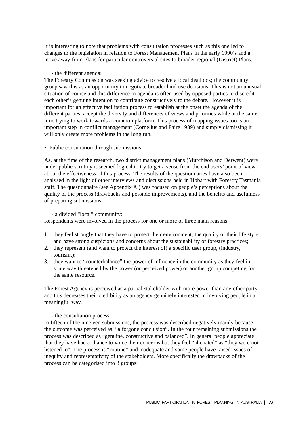It is interesting to note that problems with consultation processes such as this one led to changes to the legislation in relation to Forest Management Plans in the early 1990's and a move away from Plans for particular controversial sites to broader regional (District) Plans.

- the different agenda:

The Forestry Commission was seeking advice to resolve a local deadlock; the community group saw this as an opportunity to negotiate broader land use decisions. This is not an unusual situation of course and this difference in agenda is often used by opposed parties to discredit each other's genuine intention to contribute constructively to the debate. However it is important for an effective facilitation process to establish at the onset the agenda of the different parties, accept the diversity and differences of views and priorities while at the same time trying to work towards a common platform. This process of mapping issues too is an important step in conflict management (Cornelius and Faire 1989) and simply dismissing it will only create more problems in the long run.

• Public consultation through submissions

As, at the time of the research, two district management plans (Murchison and Derwent) were under public scrutiny it seemed logical to try to get a sense from the end users' point of view about the effectiveness of this process. The results of the questionnaires have also been analysed in the light of other interviews and discussions held in Hobart with Forestry Tasmania staff. The questionnaire (see Appendix A.) was focused on people's perceptions about the quality of the process (drawbacks and possible improvements), and the benefits and usefulness of preparing submissions.

#### - a divided "local" community:

Respondents were involved in the process for one or more of three main reasons:

- 1. they feel strongly that they have to protect their environment, the quality of their life style and have strong suspicions and concerns about the sustainability of forestry practices;
- 2. they represent (and want to protect the interest of) a specific user group, (industry, tourism.);
- 3. they want to "counterbalance" the power of influence in the community as they feel in some way threatened by the power (or perceived power) of another group competing for the same resource.

The Forest Agency is perceived as a partial stakeholder with more power than any other party and this decreases their credibility as an agency genuinely interested in involving people in a meaningful way.

#### - the consultation process:

In fifteen of the nineteen submissions, the process was described negatively mainly because the outcome was perceived as "a forgone conclusion". In the four remaining submissions the process was described as "genuine, constructive and balanced". In general people appreciate that they have had a chance to voice their concerns but they feel "alienated" as "they were not listened to". The process is "routine" and inadequate and some people have raised issues of inequity and representativity of the stakeholders. More specifically the drawbacks of the process can be categorised into 3 groups: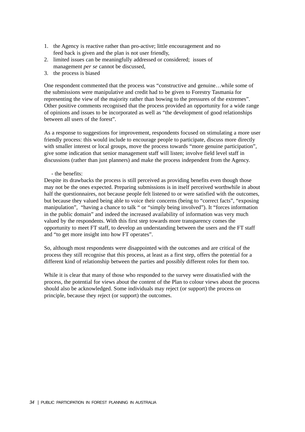- 1. the Agency is reactive rather than pro-active; little encouragement and no feed back is given and the plan is not user friendly,
- 2. limited issues can be meaningfully addressed or considered; issues of management *per se* cannot be discussed,
- 3. the process is biased

One respondent commented that the process was "constructive and genuine…while some of the submissions were manipulative and credit had to be given to Forestry Tasmania for representing the view of the majority rather than bowing to the pressures of the extremes". Other positive comments recognised that the process provided an opportunity for a wide range of opinions and issues to be incorporated as well as "the development of good relationships between all users of the forest".

As a response to suggestions for improvement, respondents focused on stimulating a more user friendly process: this would include to encourage people to participate, discuss more directly with smaller interest or local groups, move the process towards "more genuine participation", give some indication that senior management staff will listen; involve field level staff in discussions (rather than just planners) and make the process independent from the Agency.

- the benefits:

Despite its drawbacks the process is still perceived as providing benefits even though those may not be the ones expected. Preparing submissions is in itself perceived worthwhile in about half the questionnaires, not because people felt listened to or were satisfied with the outcomes, but because they valued being able to voice their concerns (being to "correct facts", "exposing manipulation", "having a chance to talk " or "simply being involved"). It "forces information in the public domain" and indeed the increased availability of information was very much valued by the respondents. With this first step towards more transparency comes the opportunity to meet FT staff, to develop an understanding between the users and the FT staff and "to get more insight into how FT operates".

So, although most respondents were disappointed with the outcomes and are critical of the process they still recognise that this process, at least as a first step, offers the potential for a different kind of relationship between the parties and possibly different roles for them too.

While it is clear that many of those who responded to the survey were dissatisfied with the process, the potential for views about the content of the Plan to colour views about the process should also be acknowledged. Some individuals may reject (or support) the process on principle, because they reject (or support) the outcomes.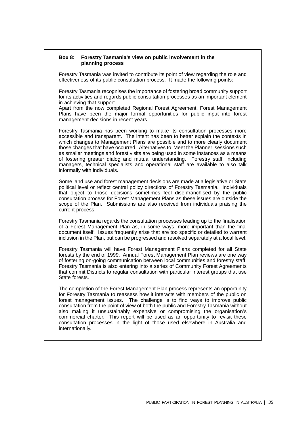#### **Box 8: Forestry Tasmania's view on public involvement in the planning process**

Forestry Tasmania was invited to contribute its point of view regarding the role and effectiveness of its public consultation process. It made the following points:

Forestry Tasmania recognises the importance of fostering broad community support for its activities and regards public consultation processes as an important element in achieving that support.

Apart from the now completed Regional Forest Agreement, Forest Management Plans have been the major formal opportunities for public input into forest management decisions in recent years.

Forestry Tasmania has been working to make its consultation processes more accessible and transparent. The intent has been to better explain the contexts in which changes to Management Plans are possible and to more clearly document those changes that have occurred. Alternatives to 'Meet the Planner' sessions such as smaller meetings and forest visits are being used in some instances as a means of fostering greater dialog and mutual understanding. Forestry staff, including managers, technical specialists and operational staff are available to also talk informally with individuals.

Some land use and forest management decisions are made at a legislative or State political level or reflect central policy directions of Forestry Tasmania. Individuals that object to those decisions sometimes feel disenfranchised by the public consultation process for Forest Management Plans as these issues are outside the scope of the Plan. Submissions are also received from individuals praising the current process.

Forestry Tasmania regards the consultation processes leading up to the finalisation of a Forest Management Plan as, in some ways, more important than the final document itself. Issues frequently arise that are too specific or detailed to warrant inclusion in the Plan, but can be progressed and resolved separately at a local level.

Forestry Tasmania will have Forest Management Plans completed for all State forests by the end of 1999. Annual Forest Management Plan reviews are one way of fostering on-going communication between local communities and forestry staff. Forestry Tasmania is also entering into a series of Community Forest Agreements that commit Districts to regular consultation with particular interest groups that use State forests.

The completion of the Forest Management Plan process represents an opportunity for Forestry Tasmania to reassess how it interacts with members of the public on forest management issues. The challenge is to find ways to improve public consultation from the point of view of both the public and Forestry Tasmania without also making it unsustainably expensive or compromising the organisation's commercial charter. This report will be used as an opportunity to revisit these consultation processes in the light of those used elsewhere in Australia and internationally.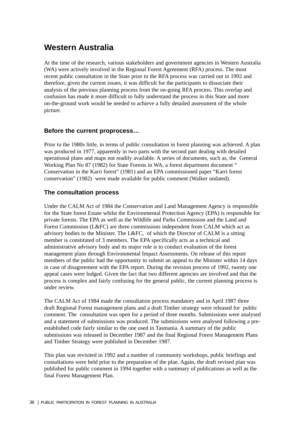## **Western Australia**

At the time of the research, various stakeholders and government agencies in Western Australia (WA) were actively involved in the Regional Forest Agreement (RFA) process. The most recent public consultation in the State prior to the RFA process was carried out in 1992 and therefore, given the current issues, it was difficult for the participants to dissociate their analysis of the previous planning process from the on-going RFA process. This overlap and confusion has made it more difficult to fully understand the process in this State and more on-the-ground work would be needed to achieve a fully detailed assessment of the whole picture.

## **Before the current proprocess…**

Prior to the 1980s little, in terms of public consultation in forest planning was achieved. A plan was produced in 1977, apparently in two parts with the second part dealing with detailed operational plans and maps not readily available. A series of documents, such as, the General Working Plan No 87 (1982) for State Forests in WA, a forest department document " Conservation in the Karri forest" (1981) and an EPA commissioned paper "Karri forest conservation" (1982) were made available for public comment (Walker undated).

## **The consultation process**

Under the CALM Act of 1984 the Conservation and Land Management Agency is responsible for the State forest Estate whilst the Environmental Protection Agency (EPA) is responsible for private forests. The EPA as well as the Wildlife and Parks Commission and the Land and Forest Commission (L&FC) are three commissions independent from CALM which act as advisory bodies to the Minister. The L&FC, of which the Director of CALM is a sitting member is constituted of 3 members. The EPA specifically acts as a technical and administrative advisory body and its major role is to conduct evaluation of the forest management plans through Environmental Impact Assessments. On release of this report members of the public had the opportunity to submit an appeal to the Minister within 14 days in case of disagreement with the EPA report. During the revision process of 1992, twenty one appeal cases were lodged. Given the fact that two different agencies are involved and that the process is complex and fairly confusing for the general public, the current planning process is under review.

The CALM Act of 1984 made the consultation process mandatory and in April 1987 three draft Regional Forest management plans and a draft Timber strategy were released for public comment. The consultation was open for a period of three months. Submissions were analysed and a statement of submissions was produced. The submissions were analysed following a preestablished code fairly similar to the one used in Tasmania. A summary of the public submissions was released in December 1987 and the final Regional Forest Management Plans and Timber Strategy were published in December 1987.

This plan was revisited in 1992 and a number of community workshops, public briefings and consultations were held prior to the preparation of the plan. Again, the draft revised plan was published for public comment in 1994 together with a summary of publications as well as the final Forest Management Plan.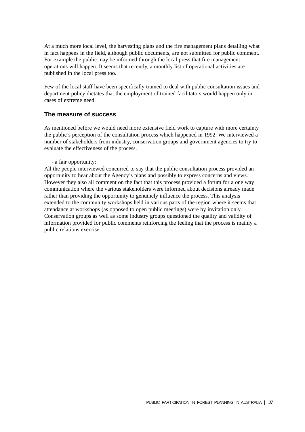At a much more local level, the harvesting plans and the fire management plans detailing what in fact happens in the field, although public documents, are not submitted for public comment. For example the public may be informed through the local press that fire management operations will happen. It seems that recently, a monthly list of operational activities are published in the local press too.

Few of the local staff have been specifically trained to deal with public consultation issues and department policy dictates that the employment of trained facilitators would happen only in cases of extreme need.

## **The measure of success**

As mentioned before we would need more extensive field work to capture with more certainty the public's perception of the consultation process which happened in 1992. We interviewed a number of stakeholders from industry, conservation groups and government agencies to try to evaluate the effectiveness of the process.

- a fair opportunity:

All the people interviewed concurred to say that the public consultation process provided an opportunity to hear about the Agency's plans and possibly to express concerns and views. However they also all comment on the fact that this process provided a forum for a one way communication where the various stakeholders were informed about decisions already made rather than providing the opportunity to genuinely influence the process. This analysis extended to the community workshops held in various parts of the region where it seems that attendance at workshops (as opposed to open public meetings) were by invitation only. Conservation groups as well as some industry groups questioned the quality and validity of information provided for public comments reinforcing the feeling that the process is mainly a public relations exercise.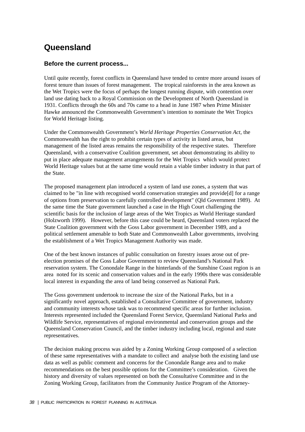# **Queensland**

## **Before the current process...**

Until quite recently, forest conflicts in Queensland have tended to centre more around issues of forest tenure than issues of forest management. The tropical rainforests in the area known as the Wet Tropics were the focus of perhaps the longest running dispute, with contention over land use dating back to a Royal Commission on the Development of North Queensland in 1931. Conflicts through the 60s and 70s came to a head in June 1987 when Prime Minister Hawke announced the Commonwealth Government's intention to nominate the Wet Tropics for World Heritage listing.

Under the Commonwealth Government's *World Heritage Properties Conservation Act*, the Commonwealth has the right to prohibit certain types of activity in listed areas, but management of the listed areas remains the responsibility of the respective states. Therefore Queensland, with a conservative Coalition government, set about demonstrating its ability to put in place adequate management arrangements for the Wet Tropics which would protect World Heritage values but at the same time would retain a viable timber industry in that part of the State.

The proposed management plan introduced a system of land use zones, a system that was claimed to be "in line with recognised world conservation strategies and provide[d] for a range of options from preservation to carefully controlled development" (Qld Government 1989). At the same time the State government launched a case in the High Court challenging the scientific basis for the inclusion of large areas of the Wet Tropics as World Heritage standard (Holzworth 1999). However, before this case could be heard, Queensland voters replaced the State Coalition government with the Goss Labor government in December 1989, and a political settlement amenable to both State and Commonwealth Labor governments, involving the establishment of a Wet Tropics Management Authority was made.

One of the best known instances of public consultation on forestry issues arose out of preelection promises of the Goss Labor Government to review Queensland's National Park reservation system. The Conondale Range in the hinterlands of the Sunshine Coast region is an area noted for its scenic and conservation values and in the early 1990s there was considerable local interest in expanding the area of land being conserved as National Park.

The Goss government undertook to increase the size of the National Parks, but in a significantly novel approach, established a Consultative Committee of government, industry and community interests whose task was to recommend specific areas for further inclusion. Interests represented included the Queensland Forest Service, Queensland National Parks and Wildlife Service, representatives of regional environmental and conservation groups and the Queensland Conservation Council, and the timber industry including local, regional and state representatives.

The decision making process was aided by a Zoning Working Group composed of a selection of these same representatives with a mandate to collect and analyse both the existing land use data as well as public comment and concerns for the Conondale Range area and to make recommendations on the best possible options for the Committee's consideration. Given the history and diversity of values represented on both the Consultative Committee and in the Zoning Working Group, facilitators from the Community Justice Program of the Attorney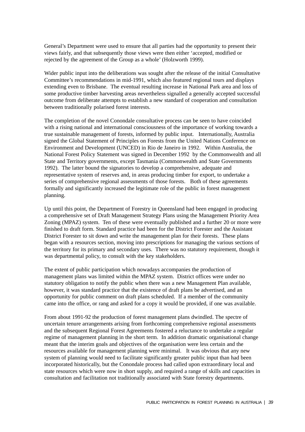General's Department were used to ensure that all parties had the opportunity to present their views fairly, and that subsequently those views were then either 'accepted, modified or rejected by the agreement of the Group as a whole' (Holzworth 1999).

Wider public input into the deliberations was sought after the release of the initial Consultative Committee's recommendations in mid-1991, which also featured regional tours and displays extending even to Brisbane. The eventual resulting increase in National Park area and loss of some productive timber harvesting areas nevertheless signalled a generally accepted successful outcome from deliberate attempts to establish a new standard of cooperation and consultation between traditionally polarised forest interests.

The completion of the novel Conondale consultative process can be seen to have coincided with a rising national and international consciousness of the importance of working towards a true sustainable management of forests, informed by public input. Internationally, Australia signed the Global Statement of Principles on Forests from the United Nations Conference on Environment and Development (UNCED) in Rio de Janeiro in 1992. Within Australia, the National Forest Policy Statement was signed in December 1992 by the Commonwealth and all State and Territory governments, except Tasmania (Commonwealth and State Governments 1992). The latter bound the signatories to develop a comprehensive, adequate and representative system of reserves and, in areas producing timber for export, to undertake a series of comprehensive regional assessments of those forests. Both of these agreements formally and significantly increased the legitimate role of the public in forest management planning.

Up until this point, the Department of Forestry in Queensland had been engaged in producing a comprehensive set of Draft Management Strategy Plans using the Management Priority Area Zoning (MPAZ) system. Ten of these were eventually published and a further 20 or more were finished to draft form. Standard practice had been for the District Forester and the Assistant District Forester to sit down and write the management plan for their forests. These plans began with a resources section, moving into prescriptions for managing the various sections of the territory for its primary and secondary uses. There was no statutory requirement, though it was departmental policy, to consult with the key stakeholders.

The extent of public participation which nowadays accompanies the production of management plans was limited within the MPAZ system. District offices were under no statutory obligation to notify the public when there was a new Management Plan available, however, it was standard practice that the existence of draft plans be advertised, and an opportunity for public comment on draft plans scheduled. If a member of the community came into the office, or rang and asked for a copy it would be provided, if one was available.

From about 1991-92 the production of forest management plans dwindled. The spectre of uncertain tenure arrangements arising from forthcoming comprehensive regional assessments and the subsequent Regional Forest Agreements fostered a reluctance to undertake a regular regime of management planning in the short term. In addition dramatic organisational change meant that the interim goals and objectives of the organisation were less certain and the resources available for management planning were minimal. It was obvious that any new system of planning would need to facilitate significantly greater public input than had been incorporated historically, but the Conondale process had called upon extraordinary local and state resources which were now in short supply, and required a range of skills and capacities in consultation and facilitation not traditionally associated with State forestry departments.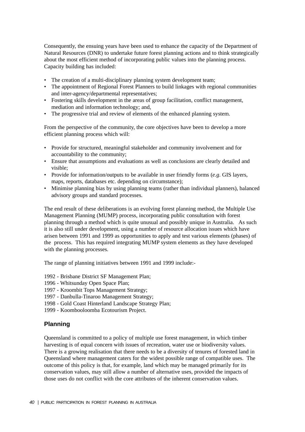Consequently, the ensuing years have been used to enhance the capacity of the Department of Natural Resources (DNR) to undertake future forest planning actions and to think strategically about the most efficient method of incorporating public values into the planning process. Capacity building has included:

- The creation of a multi-disciplinary planning system development team;
- The appointment of Regional Forest Planners to build linkages with regional communities and inter-agency/departmental representatives;
- Fostering skills development in the areas of group facilitation, conflict management, mediation and information technology; and,
- The progressive trial and review of elements of the enhanced planning system.

From the perspective of the community, the core objectives have been to develop a more efficient planning process which will:

- Provide for structured, meaningful stakeholder and community involvement and for accountability to the community;
- Ensure that assumptions and evaluations as well as conclusions are clearly detailed and visible;
- Provide for information/outputs to be available in user friendly forms (*e.g*. GIS layers, maps, reports, databases etc. depending on circumstance);
- Minimise planning bias by using planning teams (rather than individual planners), balanced advisory groups and standard processes.

The end result of these deliberations is an evolving forest planning method, the Multiple Use Management Planning (MUMP) process, incorporating public consultation with forest planning through a method which is quite unusual and possibly unique in Australia. As such it is also still under development, using a number of resource allocation issues which have arisen between 1991 and 1999 as opportunities to apply and test various elements (phases) of the process. This has required integrating MUMP system elements as they have developed with the planning processes.

The range of planning initiatives between 1991 and 1999 include:-

- 1992 Brisbane District SF Management Plan;
- 1996 Whitsunday Open Space Plan;
- 1997 Kroombit Tops Management Strategy;
- 1997 Danbulla-Tinaroo Management Strategy;
- 1998 Gold Coast Hinterland Landscape Strategy Plan;
- 1999 Koombooloomba Ecotourism Project.

## **Planning**

Queensland is committed to a policy of multiple use forest management, in which timber harvesting is of equal concern with issues of recreation, water use or biodiversity values. There is a growing realisation that there needs to be a diversity of tenures of forested land in Queensland where management caters for the widest possible range of compatible uses. The outcome of this policy is that, for example, land which may be managed primarily for its conservation values, may still allow a number of alternative uses, provided the impacts of those uses do not conflict with the core attributes of the inherent conservation values.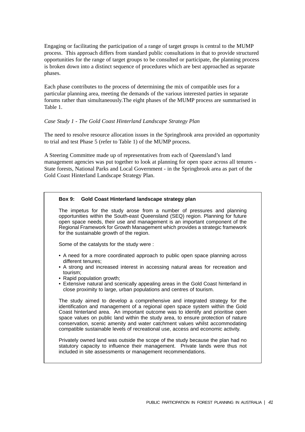Engaging or facilitating the participation of a range of target groups is central to the MUMP process. This approach differs from standard public consultations in that to provide structured opportunities for the range of target groups to be consulted or participate, the planning process is broken down into a distinct sequence of procedures which are best approached as separate phases.

Each phase contributes to the process of determining the mix of compatible uses for a particular planning area, meeting the demands of the various interested parties in separate forums rather than simultaneously.The eight phases of the MUMP process are summarised in Table 1.

#### *Case Study 1 - The Gold Coast Hinterland Landscape Strategy Plan*

The need to resolve resource allocation issues in the Springbrook area provided an opportunity to trial and test Phase 5 (refer to Table 1) of the MUMP process.

A Steering Committee made up of representatives from each of Queensland's land management agencies was put together to look at planning for open space across all tenures - State forests, National Parks and Local Government - in the Springbrook area as part of the Gold Coast Hinterland Landscape Strategy Plan.

#### **Box 9: Gold Coast Hinterland landscape strategy plan**

The impetus for the study arose from a number of pressures and planning opportunities within the South-east Queensland (SEQ) region. Planning for future open space needs, their use and management is an important component of the Regional Framework for Growth Management which provides a strategic framework for the sustainable growth of the region.

Some of the catalysts for the study were :

- A need for a more coordinated approach to public open space planning across different tenures;
- A strong and increased interest in accessing natural areas for recreation and tourism;
- Rapid population growth;
- Extensive natural and scenically appealing areas in the Gold Coast hinterland in close proximity to large, urban populations and centres of tourism.

The study aimed to develop a comprehensive and integrated strategy for the identification and management of a regional open space system within the Gold Coast hinterland area. An important outcome was to identify and prioritise open space values on public land within the study area, to ensure protection of nature conservation, scenic amenity and water catchment values whilst accommodating compatible sustainable levels of recreational use, access and economic activity.

Privately owned land was outside the scope of the study because the plan had no statutory capacity to influence their management. Private lands were thus not included in site assessments or management recommendations.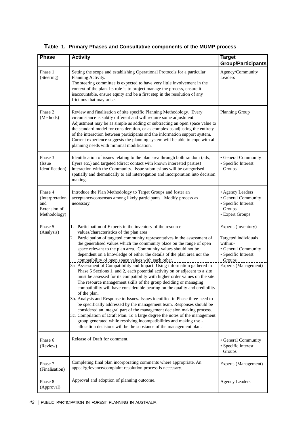| <b>Phase</b>                                                      | <b>Activity</b>                                                                                                                                                                                                                                                                                                                                                                                                                                                                                                         | <b>Target</b><br><b>Group/Participants</b>                                                  |
|-------------------------------------------------------------------|-------------------------------------------------------------------------------------------------------------------------------------------------------------------------------------------------------------------------------------------------------------------------------------------------------------------------------------------------------------------------------------------------------------------------------------------------------------------------------------------------------------------------|---------------------------------------------------------------------------------------------|
| Phase 1<br>(Steering)                                             | Setting the scope and establishing Operational Protocols for a particular<br>Planning Activity.<br>The steering committee is expected to have very little involvement in the<br>context of the plan. Its role is to project manage the process, ensure it<br>isaccountable, ensure equity and be a first step in the resolution of any<br>frictions that may arise.                                                                                                                                                     | Agency/Community<br>Leaders                                                                 |
| Phase 2<br>(Methods)                                              | Review and finalisation of site specific Planning Methodology. Every<br>circumstance is subtly different and will require some adjustment.<br>Adjustment may be as simple as adding or subtracting an open space value to<br>the standard model for consideration, or as complex as adjusting the entirety<br>of the interaction between participants and the information support system.<br>Current experience suggests the planning system will be able to cope with all<br>planning needs with minimal modification. | Planning Group                                                                              |
| Phase 3<br>(Issue<br>Identification)                              | Identification of issues relating to the plan area through both random (ads,<br>flyers etc.) and targeted (direct contact with known interested parties)<br>interaction with the Community. Issue submissions will be categorised<br>spatially and thematically to aid interrogation and incorporation into decision<br>making.                                                                                                                                                                                         | · General Community<br>• Specific Interest<br>Groups                                        |
| Phase 4<br>(Interpretation<br>and<br>Extension of<br>Methodology) | Introduce the Plan Methodology to Target Groups and foster an<br>acceptance/consensus among likely participants. Modify process as<br>necessary.                                                                                                                                                                                                                                                                                                                                                                        | • Agency Leaders<br>· General Community<br>· Specific Interest<br>Groups<br>• Expert Groups |
| Phase 5<br>(Analysis)                                             | 1. Participation of Experts in the inventory of the resource<br>values/characteristics of the plan area                                                                                                                                                                                                                                                                                                                                                                                                                 | Experts (Inventory)                                                                         |
|                                                                   | 2. Participation of targeted community representatives in the assessment of<br>the generalised values which the community place on the range of open<br>space relevant to the plan area. Community values should not be<br>dependent on a knowledge of either the details of the plan area nor the<br>compatibility of open space values with each other.                                                                                                                                                               | Targeted individuals<br>within:-<br>• General Community<br>· Specific Interest<br>Groups    |
|                                                                   | 3a Assessment of Compatibility and Impact. Using information gathered in<br>Phase 5 Sections 1. and 2, each potential activity on or adjacent to a site<br>must be assessed for its compatibility with higher order values on the site.<br>The resource management skills of the group deciding or managing<br>compatibility will have considerable bearing on the quality and credibility<br>of the plan.<br>3b. Analysis and Response to Issues. Issues identified in Phase three need to                             | Experts (Management)                                                                        |
|                                                                   | be specifically addressed by the management team. Responses should be<br>considered an integral part of the management decision making process.<br>3c. Compilation of Draft Plan. To a large degree the notes of the management<br>group generated while resolving incompatibilities and making use -<br>allocation decisions will be the substance of the management plan.                                                                                                                                             |                                                                                             |
| Phase 6<br>(Review)                                               | Release of Draft for comment.                                                                                                                                                                                                                                                                                                                                                                                                                                                                                           | • General Community<br>· Specific Interest<br>Groups                                        |
| Phase 7<br>(Finalisation)                                         | Completing final plan incorporating comments where appropriate. An<br>appeal/grievance/complaint resolution process is necessary.                                                                                                                                                                                                                                                                                                                                                                                       | Experts (Management)                                                                        |
| Phase 8<br>(Approval)                                             | Approval and adoption of planning outcome.                                                                                                                                                                                                                                                                                                                                                                                                                                                                              | <b>Agency Leaders</b>                                                                       |

**Table 1. Primary Phases and Consultative components of the MUMP process**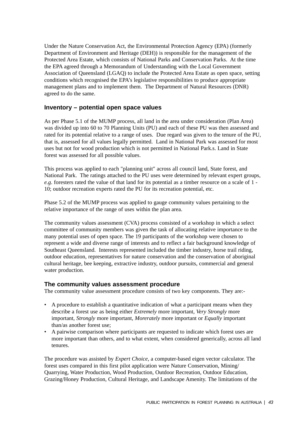Under the Nature Conservation Act, the Environmental Protection Agency (EPA) (formerly Department of Environment and Heritage (DEH)) is responsible for the management of the Protected Area Estate, which consists of National Parks and Conservation Parks. At the time the EPA agreed through a Memorandum of Understanding with the Local Government Association of Queensland (LGAQ) to include the Protected Area Estate as open space, setting conditions which recognised the EPA's legislative responsibilities to produce appropriate management plans and to implement them. The Department of Natural Resources (DNR) agreed to do the same.

### **Inventory – potential open space values**

As per Phase 5.1 of the MUMP process, all land in the area under consideration (Plan Area) was divided up into 60 to 70 Planning Units (PU) and each of these PU was then assessed and rated for its potential relative to a range of uses. Due regard was given to the tenure of the PU, that is, assessed for all values legally permitted. Land in National Park was assessed for most uses but not for wood production which is not permitted in National Park.s. Land in State forest was assessed for all possible values.

This process was applied to each "planning unit" across all council land, State forest, and National Park. The ratings attached to the PU uses were determined by relevant expert groups, *e.g*. foresters rated the value of that land for its potential as a timber resource on a scale of 1 - 10; outdoor recreation experts rated the PU for its recreation potential, etc.

Phase 5.2 of the MUMP process was applied to gauge community values pertaining to the relative importance of the range of uses within the plan area.

The community values assessment (CVA) process consisted of a workshop in which a select committee of community members was given the task of allocating relative importance to the many potential uses of open space. The 19 participants of the workshop were chosen to represent a wide and diverse range of interests and to reflect a fair background knowledge of Southeast Queensland. Interests represented included the timber industry, horse trail riding, outdoor education, representatives for nature conservation and the conservation of aboriginal cultural heritage, bee keeping, extractive industry, outdoor pursuits, commercial and general water production.

#### **The community values assessment procedure**

The community value assessment procedure consists of two key components. They are:-

- A procedure to establish a quantitative indication of what a participant means when they describe a forest use as being either *Extremely* more important, *Very Strongly* more important, *Strongly* more important, *Morerately* more important or *Equally* important than/as another forest use;
- A pairwise comparison where participants are requested to indicate which forest uses are more important than others, and to what extent, when considered generically, across all land tenures.

The procedure was assisted by *Expert Choice*, a computer-based eigen vector calculator. The forest uses compared in this first pilot application were Nature Conservation, Mining/ Quarrying, Water Production, Wood Production, Outdoor Recreation, Outdoor Education, Grazing/Honey Production, Cultural Heritage, and Landscape Amenity. The limitations of the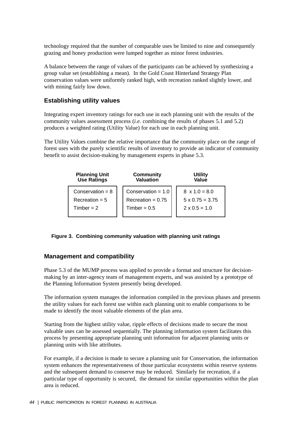technology required that the number of comparable uses be limited to nine and consequently grazing and honey production were lumped together as minor forest industries.

A balance between the range of values of the participants can be achieved by synthesizing a group value set (establishing a mean). In the Gold Coast Hinterland Strategy Plan conservation values were uniformly ranked high, with recreation ranked slightly lower, and with mining fairly low down.

## **Establishing utility values**

Integrating expert inventory ratings for each use in each planning unit with the results of the community values assessment process (*i.e.* combining the results of phases 5.1 and 5.2) produces a weighted rating (Utility Value) for each use in each planning unit.

The Utility Values combine the relative importance that the community place on the range of forest uses with the purely scientific results of inventory to provide an indicator of community benefit to assist decision-making by management experts in phase 5.3.

| <b>Planning Unit<br/>Use Ratings</b> | <b>Community</b><br>Valuation | <b>Utility</b><br>Value |
|--------------------------------------|-------------------------------|-------------------------|
| Conservation = $8$                   | Conservation = $1.0$          | $8 \times 1.0 = 8.0$    |
| $Receration = 5$                     | Recreation = $0.75$           | $5 \times 0.75 = 3.75$  |
| $Timber = 2$                         | $Timber = 0.5$                | $2 \times 0.5 = 1.0$    |
|                                      |                               |                         |

#### **Figure 3. Combining community valuation with planning unit ratings**

## **Management and compatibility**

Phase 5.3 of the MUMP process was applied to provide a format and structure for decisionmaking by an inter-agency team of management experts, and was assisted by a prototype of the Planning Information System presently being developed.

The information system manages the information compiled in the previous phases and presents the utility values for each forest use within each planning unit to enable comparisons to be made to identify the most valuable elements of the plan area.

Starting from the highest utility value, ripple effects of decisions made to secure the most valuable uses can be assessed sequentially. The planning information system facilitates this process by presenting appropriate planning unit information for adjacent planning units or planning units with like attributes.

For example, if a decision is made to secure a planning unit for Conservation, the information system enhances the representativeness of those particular ecosystems within reserve systems and the subsequent demand to conserve may be reduced. Similarly for recreation, if a particular type of opportunity is secured, the demand for similar opportunities within the plan area is reduced.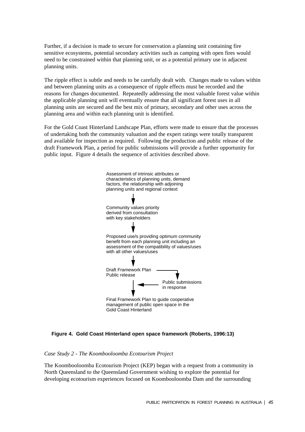Further, if a decision is made to secure for conservation a planning unit containing fire sensitive ecosystems, potential secondary activities such as camping with open fires would need to be constrained within that planning unit, or as a potential primary use in adjacent planning units.

The ripple effect is subtle and needs to be carefully dealt with. Changes made to values within and between planning units as a consequence of ripple effects must be recorded and the reasons for changes documented. Repeatedly addressing the most valuable forest value within the applicable planning unit will eventually ensure that all significant forest uses in all planning units are secured and the best mix of primary, secondary and other uses across the planning area and within each planning unit is identified.

For the Gold Coast Hinterland Landscape Plan, efforts were made to ensure that the processes of undertaking both the community valuation and the expert ratings were totally transparent and available for inspection as required. Following the production and public release of the draft Framework Plan, a period for public submissions will provide a further opportunity for public input. Figure 4 details the sequence of activities described above.



#### **Figure 4. Gold Coast Hinterland open space framework (Roberts, 1996:13)**

*Case Study 2 - The Koombooloomba Ecotourism Project*

The Koombooloomba Ecotourism Project (KEP) began with a request from a community in North Queensland to the Queensland Government wishing to explore the potential for developing ecotourism experiences focused on Koombooloomba Dam and the surrounding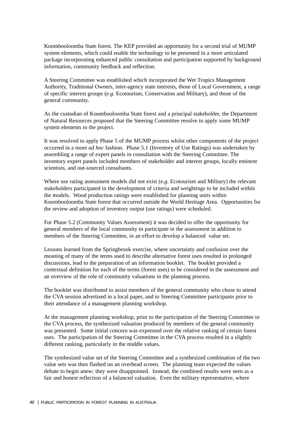Koombooloomba State forest. The KEP provided an opportunity for a second trial of MUMP system elements, which could enable the technology to be presented in a more articulated package incorporating enhanced public consultation and participation supported by background information, community feedback and reflection.

A Steering Committee was established which incorporated the Wet Tropics Management Authority, Traditional Owners, inter-agency state interests, those of Local Government, a range of specific interest groups (*e.g.* Ecotourism, Conservation and Military), and those of the general community.

As the custodian of Koombooloomba State forest and a principal stakeholder, the Department of Natural Resources proposed that the Steering Committee resolve to apply some MUMP system elements to the project.

It was resolved to apply Phase 5 of the MUMP process whilst other components of the project occurred in a more *ad hoc* fashion. Phase 5.1 (Inventory of Use Ratings) was undertaken by assembling a range of expert panels in consultation with the Steering Committee. The inventory expert panels included members of stakeholder and interest groups, locally eminent scientists, and out-sourced consultants.

Where use rating assessment models did not exist (*e.g.* Ecotourism and Military) the relevant stakeholders participated in the development of criteria and weightings to be included within the models. Wood production ratings were established for planning units within Koombooloomba State forest that occurred outside the World Heritage Area. Opportunities for the review and adoption of inventory output (use ratings) were scheduled.

For Phase 5.2 (Community Values Assessment) it was decided to offer the opportunity for general members of the local community to participate in the assessment in addition to members of the Steering Committee, in an effort to develop a balanced value set.

Lessons learned from the Springbrook exercise, where uncertainty and confusion over the meaning of many of the terms used to describe alternative forest uses resulted in prolonged discussions, lead to the preparation of an information booklet. The booklet provided a contextual definition for each of the terms (forest uses) to be considered in the assessment and an overview of the role of community valuations in the planning process.

The booklet was distributed to assist members of the general community who chose to attend the CVA session advertised in a local paper, and to Steering Committee participants prior to their attendance of a management planning workshop.

At the management planning workshop, prior to the participation of the Steering Committee in the CVA process, the synthesized valuation produced by members of the general community was presented. Some initial concern was expressed over the relative ranking of certain forest uses. The participation of the Steering Committee in the CVA process resulted in a slightly different ranking, particularly in the middle values.

The synthesized value set of the Steering Committee and a synthesized combination of the two value sets was then flashed on an overhead screen. The planning team expected the values debate to begin anew; they were disappointed. Instead, the combined results were seen as a fair and honest reflection of a balanced valuation. Even the military representative, where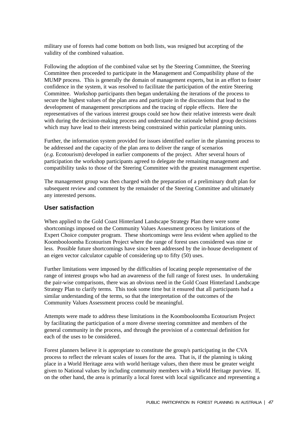military use of forests had come bottom on both lists, was resigned but accepting of the validity of the combined valuation.

Following the adoption of the combined value set by the Steering Committee, the Steering Committee then proceeded to participate in the Management and Compatibility phase of the MUMP process. This is generally the domain of management experts, but in an effort to foster confidence in the system, it was resolved to facilitate the participation of the entire Steering Committee. Workshop participants then began undertaking the iterations of the process to secure the highest values of the plan area and participate in the discussions that lead to the development of management prescriptions and the tracing of ripple effects. Here the representatives of the various interest groups could see how their relative interests were dealt with during the decision-making process and understand the rationale behind group decisions which may have lead to their interests being constrained within particular planning units.

Further, the information system provided for issues identified earlier in the planning process to be addressed and the capacity of the plan area to deliver the range of scenarios (*e.g.* Ecotourism) developed in earlier components of the project. After several hours of participation the workshop participants agreed to delegate the remaining management and compatibility tasks to those of the Steering Committee with the greatest management expertise.

The management group was then charged with the preparation of a preliminary draft plan for subsequent review and comment by the remainder of the Steering Committee and ultimately any interested persons.

### **User satisfaction**

When applied to the Gold Coast Hinterland Landscape Strategy Plan there were some shortcomings imposed on the Community Values Assessment process by limitations of the Expert Choice computer program. These shortcomings were less evident when applied to the Koombooloomba Ecotourism Project where the range of forest uses considered was nine or less. Possible future shortcomings have since been addressed by the in-house development of an eigen vector calculator capable of considering up to fifty (50) uses.

Further limitations were imposed by the difficulties of locating people representative of the range of interest groups who had an awareness of the full range of forest uses. In undertaking the pair-wise comparisons, there was an obvious need in the Gold Coast Hinterland Landscape Strategy Plan to clarify terms. This took some time but it ensured that all participants had a similar understanding of the terms, so that the interpretation of the outcomes of the Community Values Assessment process could be meaningful.

Attempts were made to address these limitations in the Koombooloomba Ecotourism Project by facilitating the participation of a more diverse steering committee and members of the general community in the process, and through the provision of a contextual definition for each of the uses to be considered.

Forest planners believe it is appropriate to constitute the group/s participating in the CVA process to reflect the relevant scales of issues for the area. That is, if the planning is taking place in a World Heritage area with world heritage values, then there must be greater weight given to National values by including community members with a World Heritage purview. If, on the other hand, the area is primarily a local forest with local significance and representing a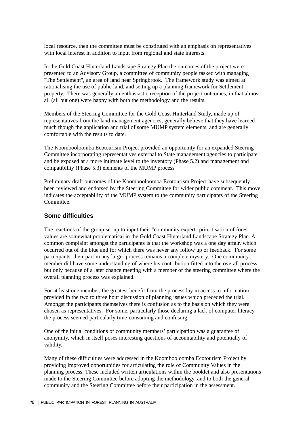local resource, then the committee must be constituted with an emphasis on representatives with local interest in addition to input from regional and state interests.

In the Gold Coast Hinterland Landscape Strategy Plan the outcomes of the project were presented to an Advisory Group, a committee of community people tasked with managing "The Settlement", an area of land near Springbrook. The framework study was aimed at rationalising the use of public land, and setting up a planning framework for Settlement property. There was generally an enthusiastic reception of the project outcomes, in that almost all (all but one) were happy with both the methodology and the results.

Members of the Steering Committee for the Gold Coast Hinterland Study, made up of representatives from the land management agencies, generally believe that they have learned much though the application and trial of some MUMP system elements, and are generally comfortable with the results to date.

The Koombooloomba Ecotourism Project provided an opportunity for an expanded Steering Committee incorporating representatives external to State management agencies to participate and be exposed at a more intimate level to the inventory (Phase 5.2) and management and compatibility (Phase 5.3) elements of the MUMP process

Preliminary draft outcomes of the Koombooloomba Ecotourism Project have subsequently been reviewed and endorsed by the Steering Committee for wider public comment. This move indicates the acceptability of the MUMP system to the community participants of the Steering Committee.

#### **Some difficulties**

The reactions of the group set up to input their "community expert" prioritisation of forest values are somewhat problematical in the Gold Coast Hinterland Landscape Strategy Plan. A common complaint amongst the participants is that the workshop was a one day affair, which occurred out of the blue and for which there was never any follow up or feedback. For some participants, their part in any larger process remains a complete mystery. One community member did have some understanding of where his contribution fitted into the overall process, but only because of a later chance meeting with a member of the steering committee where the overall planning process was explained.

For at least one member, the greatest benefit from the process lay in access to information provided in the two to three hour discussion of planning issues which preceded the trial. Amongst the participants themselves there is confusion as to the basis on which they were chosen as representatives. For some, particularly those declaring a lack of computer literacy, the process seemed particularly time-consuming and confusing.

One of the initial conditions of community members' participation was a guarantee of anonymity, which in itself poses interesting questions of accountability and potentially of validity.

Many of these difficulties were addressed in the Koombooloomba Ecotourism Project by providing improved opportunities for articulating the role of Community Values in the planning process. These included written articulations within the booklet and also presentations made to the Steering Committee before adopting the methodology, and to both the general community and the Steering Committee before their participation in the assessment.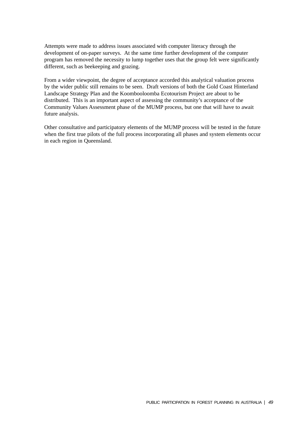Attempts were made to address issues associated with computer literacy through the development of on-paper surveys. At the same time further development of the computer program has removed the necessity to lump together uses that the group felt were significantly different, such as beekeeping and grazing.

From a wider viewpoint, the degree of acceptance accorded this analytical valuation process by the wider public still remains to be seen. Draft versions of both the Gold Coast Hinterland Landscape Strategy Plan and the Koombooloomba Ecotourism Project are about to be distributed. This is an important aspect of assessing the community's acceptance of the Community Values Assessment phase of the MUMP process, but one that will have to await future analysis.

Other consultative and participatory elements of the MUMP process will be tested in the future when the first true pilots of the full process incorporating all phases and system elements occur in each region in Queensland.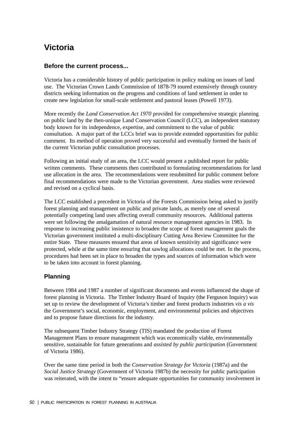# **Victoria**

### **Before the current process...**

Victoria has a considerable history of public participation in policy making on issues of land use. The Victorian Crown Lands Commission of 1878-79 toured extensively through country districts seeking information on the progress and conditions of land settlement in order to create new legislation for small-scale settlement and pastoral leases (Powell 1973).

More recently the *Land Conservation Act 1970* provided for comprehensive strategic planning on public land by the then-unique Land Conservation Council (LCC), an independent statutory body known for its independence, expertise, and commitment to the value of public consultation. A major part of the LCCs brief was to provide extended opportunities for public comment. Its method of operation proved very successful and eventually formed the basis of the current Victorian public consultation processes.

Following an initial study of an area, the LCC would present a published report for public written comments. These comments then contributed to formulating recommendations for land use allocation in the area. The recommendations were resubmitted for public comment before final recommendations were made to the Victorian government. Area studies were reviewed and revised on a cyclical basis.

The LCC established a precedent in Victoria of the Forests Commission being asked to justify forest planning and management on public and private lands, as merely one of several potentially competing land uses affecting overall community resources. Additional patterns were set following the amalgamation of natural resource management agencies in 1983. In response to increasing public insistence to broaden the scope of forest management goals the Victorian government instituted a multi-disciplinary Cutting Area Review Committee for the entire State. These measures ensured that areas of known sensitivity and significance were protected, while at the same time ensuring that sawlog allocations could be met. In the process, procedures had been set in place to broaden the types and sources of information which were to be taken into account in forest planning.

## **Planning**

Between 1984 and 1987 a number of significant documents and events influenced the shape of forest planning in Victoria. The Timber Industry Board of Inquiry (the Ferguson Inquiry) was set up to review the development of Victoria's timber and forest products industries *vis a vis* the Government's social, economic, employment, and environmental policies and objectives and to propose future directions for the industry.

The subsequent Timber Industry Strategy (TIS) mandated the production of Forest Management Plans to ensure management which was economically viable, environmentally sensitive, sustainable for future generations and *assisted by public participation* (Government of Victoria 1986).

Over the same time period in both the *Conservation Strategy for Victoria* (1987a) and the *Social Justice Strategy* (Government of Victoria 1987b) the necessity for public participation was reiterated, with the intent to "ensure adequate opportunities for community involvement in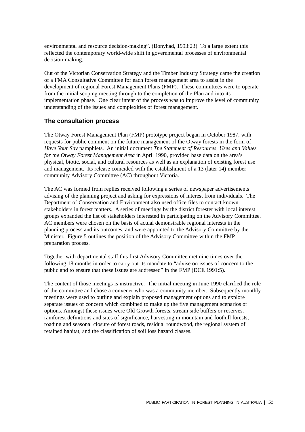environmental and resource decision-making". (Bonyhad, 1993:23) To a large extent this reflected the contemporary world-wide shift in governmental processes of environmental decision-making.

Out of the Victorian Conservation Strategy and the Timber Industry Strategy came the creation of a FMA Consultative Committee for each forest management area to assist in the development of regional Forest Management Plans (FMP). These committees were to operate from the initial scoping meeting through to the completion of the Plan and into its implementation phase. One clear intent of the process was to improve the level of community understanding of the issues and complexities of forest management.

#### **The consultation process**

The Otway Forest Management Plan (FMP) prototype project began in October 1987, with requests for public comment on the future management of the Otway forests in the form of *Have Your Say* pamphlets. An initial document *The Statement of Resources, Uses and Values for the Otway Forest Management Area* in April 1990, provided base data on the area's physical, biotic, social, and cultural resources as well as an explanation of existing forest use and management. Its release coincided with the establishment of a 13 (later 14) member community Advisory Committee (AC) throughout Victoria.

The AC was formed from replies received following a series of newspaper advertisements advising of the planning project and asking for expressions of interest from individuals. The Department of Conservation and Environment also used office files to contact known stakeholders in forest matters. A series of meetings by the district forester with local interest groups expanded the list of stakeholders interested in participating on the Advisory Committee. AC members were chosen on the basis of actual demonstrable regional interests in the planning process and its outcomes, and were appointed to the Advisory Committee by the Minister. Figure 5 outlines the position of the Advisory Committee within the FMP preparation process.

Together with departmental staff this first Advisory Committee met nine times over the following 18 months in order to carry out its mandate to "advise on issues of concern to the public and to ensure that these issues are addressed" in the FMP (DCE 1991:5).

The content of those meetings is instructive. The initial meeting in June 1990 clarified the role of the committee and chose a convener who was a community member. Subsequently monthly meetings were used to outline and explain proposed management options and to explore separate issues of concern which combined to make up the five management scenarios or options. Amongst these issues were Old Growth forests, stream side buffers or reserves, rainforest definitions and sites of significance, harvesting in mountain and foothill forests, roading and seasonal closure of forest roads, residual roundwood, the regional system of retained habitat, and the classification of soil loss hazard classes.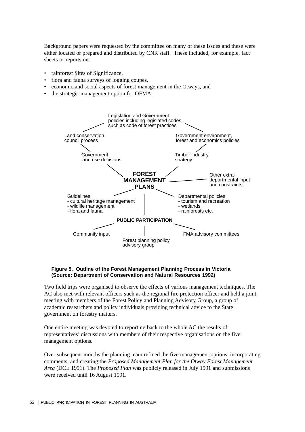Background papers were requested by the committee on many of these issues and these were either located or prepared and distributed by CNR staff. These included, for example, fact sheets or reports on:

- rainforest Sites of Significance,
- flora and fauna surveys of logging coupes,
- economic and social aspects of forest management in the Otways, and
- the strategic management option for OFMA.



#### **Figure 5. Outline of the Forest Management Planning Process in Victoria (Source: Department of Conservation and Natural Resources 1992)**

Two field trips were organised to observe the effects of various management techniques. The AC also met with relevant officers such as the regional fire protection officer and held a joint meeting with members of the Forest Policy and Planning Advisory Group, a group of academic researchers and policy individuals providing technical advice to the State government on forestry matters.

One entire meeting was devoted to reporting back to the whole AC the results of representatives' discussions with members of their respective organisations on the five management options.

Over subsequent months the planning team refined the five management options, incorporating comments, and creating the *Proposed Management Plan for the Otway Forest Management Area* (DCE 1991). The *Proposed Plan* was publicly released in July 1991 and submissions were received until 16 August 1991.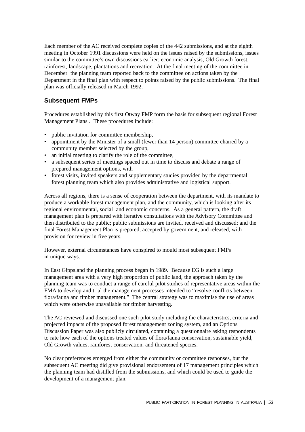Each member of the AC received complete copies of the 442 submissions, and at the eighth meeting in October 1991 discussions were held on the issues raised by the submissions, issues similar to the committee's own discussions earlier: economic analysis, Old Growth forest, rainforest, landscape, plantations and recreation. At the final meeting of the committee in December the planning team reported back to the committee on actions taken by the Department in the final plan with respect to points raised by the public submissions. The final plan was officially released in March 1992.

## **Subsequent FMPs**

Procedures established by this first Otway FMP form the basis for subsequent regional Forest Management Plans . These procedures include:

- public invitation for committee membership.
- appointment by the Minister of a small (fewer than 14 person) committee chaired by a community member selected by the group,
- an initial meeting to clarify the role of the committee,
- a subsequent series of meetings spaced out in time to discuss and debate a range of prepared management options, with
- forest visits, invited speakers and supplementary studies provided by the departmental forest planning team which also provides administrative and logistical support.

Across all regions, there is a sense of cooperation between the department, with its mandate to produce a workable forest management plan, and the community, which is looking after its regional environmental, social and economic concerns. As a general pattern, the draft management plan is prepared with iterative consultations with the Advisory Committee and then distributed to the public; public submissions are invited, received and discussed; and the final Forest Management Plan is prepared, accepted by government, and released, with provision for review in five years.

However, external circumstances have conspired to mould most subsequent FMPs in unique ways.

In East Gippsland the planning process began in 1989. Because EG is such a large management area with a very high proportion of public land, the approach taken by the planning team was to conduct a range of careful pilot studies of representative areas within the FMA to develop and trial the management processes intended to "resolve conflicts between flora/fauna and timber management." The central strategy was to maximise the use of areas which were otherwise unavailable for timber harvesting.

The AC reviewed and discussed one such pilot study including the characteristics, criteria and projected impacts of the proposed forest management zoning system, and an Options Discussion Paper was also publicly circulated, containing a questionnaire asking respondents to rate how each of the options treated values of flora/fauna conservation, sustainable yield, Old Growth values, rainforest conservation, and threatened species.

No clear preferences emerged from either the community or committee responses, but the subsequent AC meeting did give provisional endorsement of 17 management principles which the planning team had distilled from the submissions, and which could be used to guide the development of a management plan.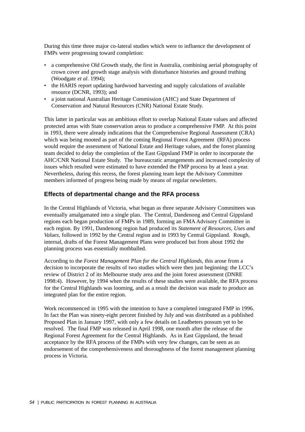During this time three major co-lateral studies which were to influence the development of FMPs were progressing toward completion:

- a comprehensive Old Growth study, the first in Australia, combining aerial photography of crown cover and growth stage analysis with disturbance histories and ground truthing (Woodgate *et al*. 1994);
- the HARIS report updating hardwood harvesting and supply calculations of available resource (DCNR, 1993); and
- a joint national Australian Heritage Commission (AHC) and State Department of Conservation and Natural Resources (CNR) National Estate Study.

This latter in particular was an ambitious effort to overlap National Estate values and affected protected areas with State conservation areas to produce a comprehensive FMP. At this point in 1993, there were already indications that the Comprehensive Regional Assessment (CRA) which was being mooted as part of the coming Regional Forest Agreement (RFA) process would require the assessment of National Estate and Heritage values, and the forest planning team decided to delay the completion of the East Gippsland FMP in order to incorporate the AHC/CNR National Estate Study. The bureaucratic arrangements and increased complexity of issues which resulted were estimated to have extended the FMP process by at least a year. Nevertheless, during this recess, the forest planning team kept the Advisory Committee members informed of progress being made by means of regular newsletters.

## **Effects of departmental change and the RFA process**

In the Central Highlands of Victoria, what began as three separate Advisory Committees was eventually amalgamated into a single plan. The Central, Dandenong and Central Gippsland regions each began production of FMPs in 1989, forming an FMA Advisory Committee in each region. By 1991, Dandenong region had produced its *Statement of Resources, Uses and Values*, followed in 1992 by the Central region and in 1993 by Central Gippsland. Rough, internal, drafts of the Forest Management Plans were produced but from about 1992 the planning process was essentially mothballed.

According to the *Forest Management Plan for the Central Highlands,* this arose from a decision to incorporate the results of two studies which were then just beginning: the LCC's review of District 2 of its Melbourne study area and the joint forest assessment (DNRE 1998:4). However, by 1994 when the results of these studies were available, the RFA process for the Central Highlands was looming, and as a result the decision was made to produce an integrated plan for the entire region.

Work recommenced in 1995 with the intention to have a completed integrated FMP in 1996. In fact the Plan was ninety-eight percent finished by July and was distributed as a published Proposed Plan in January 1997, with only a few details on Leadbeters possum yet to be resolved. The final FMP was released in April 1998, one month after the release of the Regional Forest Agreement for the Central Highlands. As in East Gippsland, the broad acceptance by the RFA process of the FMPs with very few changes, can be seen as an endorsement of the comprehensiveness and thoroughness of the forest management planning process in Victoria.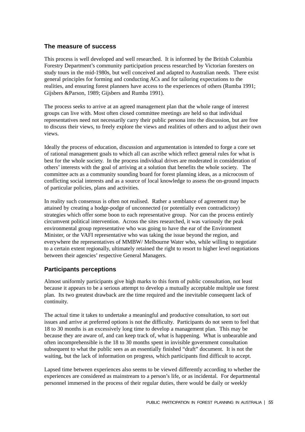## **The measure of success**

This process is well developed and well researched. It is informed by the British Columbia Forestry Department's community participation process researched by Victorian foresters on study tours in the mid-1980s, but well conceived and adapted to Australian needs. There exist general principles for forming and conducting ACs and for tailoring expectations to the realities, and ensuring forest planners have access to the experiences of others (Rumba 1991; Gijsbers &Parson, 1989; Gijsbers and Rumba 1991).

The process seeks to arrive at an agreed management plan that the whole range of interest groups can live with. Most often closed committee meetings are held so that individual representatives need not necessarily carry their public persona into the discussion, but are free to discuss their views, to freely explore the views and realities of others and to adjust their own views.

Ideally the process of education, discussion and argumentation is intended to forge a core set of rational management goals to which all can ascribe which reflect general rules for what is best for the whole society. In the process individual drives are moderated in consideration of others' interests with the goal of arriving at a solution that benefits the whole society. The committee acts as a community sounding board for forest planning ideas, as a microcosm of conflicting social interests and as a source of local knowledge to assess the on-ground impacts of particular policies, plans and activities.

In reality such consensus is often not realised. Rather a semblance of agreement may be attained by creating a hodge-podge of unconnected (or potentially even contradictory) strategies which offer some boon to each representative group. Nor can the process entirely circumvent political intervention. Across the sites researched, it was variously the peak environmental group representative who was going to have the ear of the Environment Minister, or the VAFI representative who was taking the issue beyond the region, and everywhere the representatives of MMBW/ Melbourne Water who, while willing to negotiate to a certain extent regionally, ultimately retained the right to resort to higher level negotiations between their agencies' respective General Managers.

## **Participants perceptions**

Almost uniformly participants give high marks to this form of public consultation, not least because it appears to be a serious attempt to develop a mutually acceptable multiple use forest plan. Its two greatest drawback are the time required and the inevitable consequent lack of continuity.

The actual time it takes to undertake a meaningful and productive consultation, to sort out issues and arrive at preferred options is not the difficulty. Participants do not seem to feel that 18 to 30 months is an excessively long time to develop a management plan. This may be because they are aware of, and can keep track of, what is happening. What is unbearable and often incomprehensible is the 18 to 30 months spent in invisible government consultation subsequent to what the public sees as an essentially finished "draft" document. It is not the waiting, but the lack of information on progress, which participants find difficult to accept.

Lapsed time between experiences also seems to be viewed differently according to whether the experiences are considered as mainstream to a person's life, or as incidental. For departmental personnel immersed in the process of their regular duties, there would be daily or weekly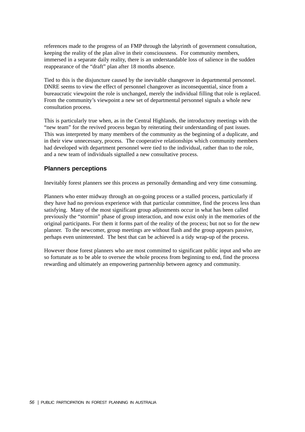references made to the progress of an FMP through the labyrinth of government consultation, keeping the reality of the plan alive in their consciousness. For community members, immersed in a separate daily reality, there is an understandable loss of salience in the sudden reappearance of the "draft" plan after 18 months absence.

Tied to this is the disjuncture caused by the inevitable changeover in departmental personnel. DNRE seems to view the effect of personnel changeover as inconsequential, since from a bureaucratic viewpoint the role is unchanged, merely the individual filling that role is replaced. From the community's viewpoint a new set of departmental personnel signals a whole new consultation process.

This is particularly true when, as in the Central Highlands, the introductory meetings with the "new team" for the revived process began by reiterating their understanding of past issues. This was interpreted by many members of the community as the beginning of a duplicate, and in their view unnecessary, process. The cooperative relationships which community members had developed with department personnel were tied to the individual, rather than to the role, and a new team of individuals signalled a new consultative process.

## **Planners perceptions**

Inevitably forest planners see this process as personally demanding and very time consuming.

Planners who enter midway through an on-going process or a stalled process, particularly if they have had no previous experience with that particular committee, find the process less than satisfying. Many of the most significant group adjustments occur in what has been called previously the "stormin" phase of group interaction, and now exist only in the memories of the original participants. For them it forms part of the reality of the process; but not so for the new planner. To the newcomer, group meetings are without flash and the group appears passive, perhaps even uninterested. The best that can be achieved is a tidy wrap-up of the process.

However those forest planners who are most committed to significant public input and who are so fortunate as to be able to oversee the whole process from beginning to end, find the process rewarding and ultimately an empowering partnership between agency and community.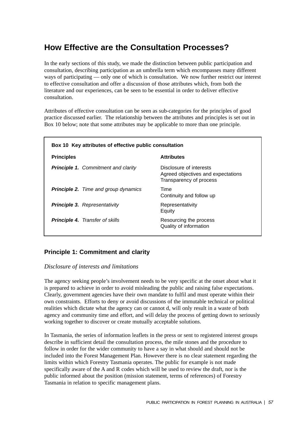# **How Effective are the Consultation Processes?**

In the early sections of this study, we made the distinction between public participation and consultation, describing participation as an umbrella term which encompasses many different ways of participating — only one of which is consultation. We now further restrict our interest to effective consultation and offer a discussion of those attributes which, from both the literature and our experiences, can be seen to be essential in order to deliver effective consultation.

Attributes of effective consultation can be seen as sub-categories for the principles of good practice discussed earlier. The relationship between the attributes and principles is set out in Box 10 below; note that some attributes may be applicable to more than one principle.

| Box 10 Key attributes of effective public consultation |                                                                                          |  |  |  |
|--------------------------------------------------------|------------------------------------------------------------------------------------------|--|--|--|
| <b>Principles</b>                                      | <b>Attributes</b>                                                                        |  |  |  |
| <b>Principle 1.</b> Commitment and clarity             | Disclosure of interests<br>Agreed objectives and expectations<br>Transparency of process |  |  |  |
| <b>Principle 2.</b> Time and group dynamics            | Time<br>Continuity and follow up                                                         |  |  |  |
| <b>Principle 3.</b> Representativity                   | Representativity<br>Equity                                                               |  |  |  |
| <b>Principle 4.</b> Transfer of skills                 | Resourcing the process<br>Quality of information                                         |  |  |  |

## **Principle 1: Commitment and clarity**

### *Disclosure of interests and limitations*

The agency seeking people's involvement needs to be very specific at the onset about what it is prepared to achieve in order to avoid misleading the public and raising false expectations. Clearly, government agencies have their own mandate to fulfil and must operate within their own constraints. Efforts to deny or avoid discussions of the immutable technical or political realities which dictate what the agency can or cannot d, will only result in a waste of both agency and community time and effort, and will delay the process of getting down to seriously working together to discover or create mutually acceptable solutions.

In Tasmania, the series of information leaflets in the press or sent to registered interest groups describe in sufficient detail the consultation process, the mile stones and the procedure to follow in order for the wider community to have a say in what should and should not be included into the Forest Management Plan. However there is no clear statement regarding the limits within which Forestry Tasmania operates. The public for example is not made specifically aware of the A and R codes which will be used to review the draft, nor is the public informed about the position (mission statement, terms of references) of Forestry Tasmania in relation to specific management plans.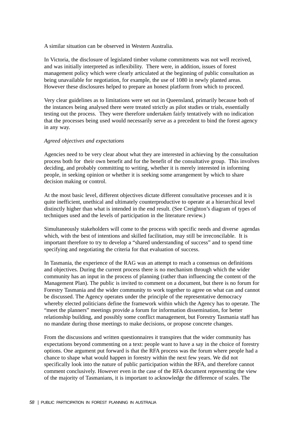A similar situation can be observed in Western Australia.

In Victoria, the disclosure of legislated timber volume commitments was not well received, and was initially interpreted as inflexibility. There were, in addition, issues of forest management policy which were clearly articulated at the beginning of public consultation as being unavailable for negotiation, for example, the use of 1080 in newly planted areas. However these disclosures helped to prepare an honest platform from which to proceed.

Very clear guidelines as to limitations were set out in Queensland, primarily because both of the instances being analysed there were treated strictly as pilot studies or trials, essentially testing out the process. They were therefore undertaken fairly tentatively with no indication that the processes being used would necessarily serve as a precedent to bind the forest agency in any way.

#### *Agreed objectives and expectations*

Agencies need to be very clear about what they are interested in achieving by the consultation process both for their own benefit and for the benefit of the consultative group. This involves deciding, and probably committing to writing, whether it is merely interested in informing people, in seeking opinion or whether it is seeking some arrangement by which to share decision making or control.

At the most basic level, different objectives dictate different consultative processes and it is quite inefficient, unethical and ultimately counterproductive to operate at a hierarchical level distinctly higher than what is intended in the end result. (See Creighton's diagram of types of techniques used and the levels of participation in the literature review.)

Simultaneously stakeholders will come to the process with specific needs and diverse agendas which, with the best of intentions and skilled facilitation, may still be irreconcilable. It is important therefore to try to develop a "shared understanding of success" and to spend time specifying and negotiating the criteria for that evaluation of success.

In Tasmania, the experience of the RAG was an attempt to reach a consensus on definitions and objectives. During the current process there is no mechanism through which the wider community has an input in the process of planning (rather than influencing the content of the Management Plan). The public is invited to comment on a document, but there is no forum for Forestry Tasmania and the wider community to work together to agree on what can and cannot be discussed. The Agency operates under the principle of the representative democracy whereby elected politicians define the framework within which the Agency has to operate. The "meet the planners" meetings provide a forum for information dissemination, for better relationship building, and possibly some conflict management, but Forestry Tasmania staff has no mandate during those meetings to make decisions, or propose concrete changes.

From the discussions and written questionnaires it transpires that the wider community has expectations beyond commenting on a text: people want to have a say in the choice of forestry options. One argument put forward is that the RFA process was the forum where people had a chance to shape what would happen in forestry within the next few years. We did not specifically look into the nature of public participation within the RFA, and therefore cannot comment conclusively. However even in the case of the RFA document representing the view of the majority of Tasmanians, it is important to acknowledge the difference of scales. The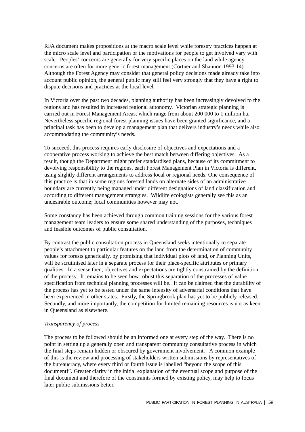RFA document makes propositions at the macro scale level while forestry practices happen at the micro scale level and participation or the motivations for people to get involved vary with scale. Peoples' concerns are generally for very specific places on the land while agency concerns are often for more generic forest management (Cortner and Shannon 1993:14). Although the Forest Agency may consider that general policy decisions made already take into account public opinion, the general public may still feel very strongly that they have a right to dispute decisions and practices at the local level.

In Victoria over the past two decades, planning authority has been increasingly devolved to the regions and has resulted in increased regional autonomy. Victorian strategic planning is carried out in Forest Management Areas, which range from about 200 000 to 1 million ha. Nevertheless specific regional forest planning issues have been granted significance, and a principal task has been to develop a management plan that delivers industry's needs while also accommodating the community's needs.

To succeed, this process requires early disclosure of objectives and expectations and a cooperative process working to achieve the best match between differing objectives. As a result, though the Department might prefer standardised plans, because of its commitment to devolving responsibility to the regions, each Forest Management Plan in Victoria is different, using slightly different arrangements to address local or regional needs. One consequence of this practice is that in some regions forested lands on alternate sides of an administrative boundary are currently being managed under different designations of land classification and according to different management strategies. Wildlife ecologists generally see this as an undesirable outcome; local communities however may not.

Some constancy has been achieved through common training sessions for the various forest management team leaders to ensure some shared understanding of the purposes, techniques and feasible outcomes of public consultation.

By contrast the public consultation process in Queensland seeks intentionally to separate people's attachment to particular features on the land from the determination of community values for forests generically, by promising that individual plots of land, or Planning Units, will be scrutinised later in a separate process for their place-specific attributes or primary qualities. In a sense then, objectives and expectations are tightly constrained by the definition of the process. It remains to be seen how robust this separation of the processes of value specification from technical planning processes will be. It can be claimed that the durability of the process has yet to be tested under the same intensity of adversarial conditions that have been experienced in other states. Firstly, the Springbrook plan has yet to be publicly released. Secondly, and more importantly, the competition for limited remaining resources is not as keen in Queensland as elsewhere.

#### *Transparency of process*

The process to be followed should be an informed one at every step of the way. There is no point in setting up a generally open and transparent community consultative process in which the final steps remain hidden or obscured by government involvement. A common example of this is the review and processing of stakeholders written submissions by representatives of the bureaucracy, where every third or fourth issue is labelled "beyond the scope of this document!". Greater clarity in the initial explanation of the eventual scope and purpose of the final document and therefore of the constraints formed by existing policy, may help to focus later public submissions better.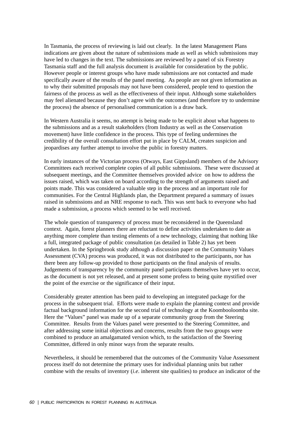In Tasmania, the process of reviewing is laid out clearly. In the latest Management Plans indications are given about the nature of submissions made as well as which submissions may have led to changes in the text. The submissions are reviewed by a panel of six Forestry Tasmania staff and the full analysis document is available for consideration by the public. However people or interest groups who have made submissions are not contacted and made specifically aware of the results of the panel meeting. As people are not given information as to why their submitted proposals may not have been considered, people tend to question the fairness of the process as well as the effectiveness of their input. Although some stakeholders may feel alienated because they don't agree with the outcomes (and therefore try to undermine the process) the absence of personalised communication is a draw back.

In Western Australia it seems, no attempt is being made to be explicit about what happens to the submissions and as a result stakeholders (from Industry as well as the Conservation movement) have little confidence in the process. This type of feeling undermines the credibility of the overall consultation effort put in place by CALM, creates suspicion and jeopardises any further attempt to involve the public in forestry matters.

In early instances of the Victorian process (Otways, East Gippsland) members of the Advisory Committees each received complete copies of all public submissions. These were discussed at subsequent meetings, and the Committee themselves provided advice on how to address the issues raised, which was taken on board according to the strength of arguments raised and points made. This was considered a valuable step in the process and an important role for communities. For the Central Highlands plan, the Department prepared a summary of issues raised in submissions and an NRE response to each. This was sent back to everyone who had made a submission, a process which seemed to be well received.

The whole question of transparency of process must be reconsidered in the Queensland context. Again, forest planners there are reluctant to define activities undertaken to date as anything more complete than testing elements of a new technology, claiming that nothing like a full, integrated package of public consultation (as detailed in Table 2) has yet been undertaken. In the Springbrook study although a discussion paper on the Community Values Assessment (CVA) process was produced, it was not distributed to the participants, nor has there been any follow-up provided to those participants on the final analysis of results. Judgements of transparency by the community panel participants themselves have yet to occur, as the document is not yet released, and at present some profess to being quite mystified over the point of the exercise or the significance of their input.

Considerably greater attention has been paid to developing an integrated package for the process in the subsequent trial. Efforts were made to explain the planning context and provide factual background information for the second trial of technology at the Koombooloomba site. Here the "Values" panel was made up of a separate community group from the Steering Committee. Results from the Values panel were presented to the Steering Committee, and after addressing some initial objections and concerns, results from the two groups were combined to produce an amalgamated version which, to the satisfaction of the Steering Committee, differed in only minor ways from the separate results.

Nevertheless, it should be remembered that the outcomes of the Community Value Assessment process itself do not determine the primary uses for individual planning units but rather combine with the results of inventory (*i.e*. inherent site qualities) to produce an indicator of the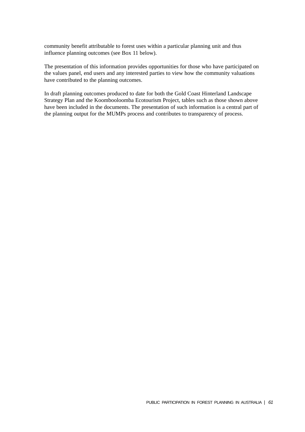community benefit attributable to forest uses within a particular planning unit and thus influence planning outcomes (see Box 11 below).

The presentation of this information provides opportunities for those who have participated on the values panel, end users and any interested parties to view how the community valuations have contributed to the planning outcomes.

In draft planning outcomes produced to date for both the Gold Coast Hinterland Landscape Strategy Plan and the Koombooloomba Ecotourism Project, tables such as those shown above have been included in the documents. The presentation of such information is a central part of the planning output for the MUMPs process and contributes to transparency of process.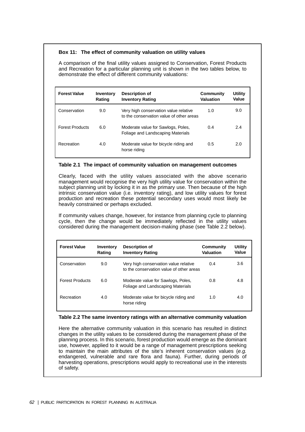#### **Box 11: The effect of community valuation on utility values**

A comparison of the final utility values assigned to Conservation, Forest Products and Recreation for a particular planning unit is shown in the two tables below, to demonstrate the effect of different community valuations:

| <b>Forest Value</b>    | Inventory<br>Rating | Description of<br><b>Inventory Rating</b>                                         | Community<br>Valuation | Utility<br>Value |
|------------------------|---------------------|-----------------------------------------------------------------------------------|------------------------|------------------|
| Conservation           | 9.0                 | Very high conservation value relative<br>to the conservation value of other areas | 1.0                    | 9.0              |
| <b>Forest Products</b> | 6.0                 | Moderate value for Sawlogs, Poles,<br>Foliage and Landscaping Materials           | 0.4                    | 2.4              |
| Recreation             | 4.0                 | Moderate value for bicycle riding and<br>horse riding                             | 0.5                    | 2.0              |

#### **Table 2.1 The impact of community valuation on management outcomes**

Clearly, faced with the utility values associated with the above scenario management would recognise the very high utility value for conservation within the subject planning unit by locking it in as the primary use. Then because of the high intrinsic conservation value (i.e. inventory rating), and low utility values for forest production and recreation these potential secondary uses would most likely be heavily constrained or perhaps excluded.

If community values change, however, for instance from planning cycle to planning cycle, then the change would be immediately reflected in the utility values considered during the management decision-making phase (see Table 2.2 below).

| <b>Forest Value</b>    | Inventory<br>Rating | Description of<br><b>Inventory Rating</b>                                         | Community<br>Valuation | Utility<br>Value |
|------------------------|---------------------|-----------------------------------------------------------------------------------|------------------------|------------------|
| Conservation           | 9.0                 | Very high conservation value relative<br>to the conservation value of other areas | 0.4                    | 3.6              |
| <b>Forest Products</b> | 6.0                 | Moderate value for Sawlogs, Poles,<br>Foliage and Landscaping Materials           | 0.8                    | 4.8              |
| Recreation             | 4.0                 | Moderate value for bicycle riding and<br>horse riding                             | 1.0                    | 4.0              |

#### **Table 2.2 The same inventory ratings with an alternative community valuation**

Here the alternative community valuation in this scenario has resulted in distinct changes in the utility values to be considered during the management phase of the planning process. In this scenario, forest production would emerge as the dominant use, however, applied to it would be a range of management prescriptions seeking to maintain the main attributes of the site's inherent conservation values (e.g. endangered, vulnerable and rare flora and fauna). Further, during periods of harvesting operations, prescriptions would apply to recreational use in the interests of safety.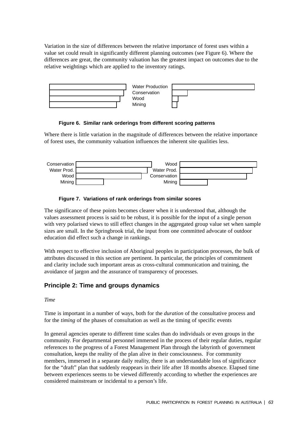Variation in the size of differences between the relative importance of forest uses within a value set could result in significantly different planning outcomes (see Figure 6). Where the differences are great, the community valuation has the greatest impact on outcomes due to the relative weightings which are applied to the inventory ratings.



**Figure 6. Similar rank orderings from different scoring patterns**

Where there is little variation in the magnitude of differences between the relative importance of forest uses, the community valuation influences the inherent site qualities less.





The significance of these points becomes clearer when it is understood that, although the values assessment process is said to be robust, it is possible for the input of a single person with very polarised views to still effect changes in the aggregated group value set when sample sizes are small. In the Springbrook trial, the input from one committed advocate of outdoor education did effect such a change in rankings.

With respect to effective inclusion of Aboriginal peoples in participation processes, the bulk of attributes discussed in this section are pertinent. In particular, the principles of commitment and clarity include such important areas as cross-cultural communication and training, the avoidance of jargon and the assurance of transparency of processes.

## **Principle 2: Time and groups dynamics**

#### *Time*

Time is important in a number of ways, both for the *duration* of the consultative process and for the *timing* of the phases of consultation as well as the timing of specific events

In general agencies operate to different time scales than do individuals or even groups in the community. For departmental personnel immersed in the process of their regular duties, regular references to the progress of a Forest Management Plan through the labyrinth of government consultation, keeps the reality of the plan alive in their consciousness. For community members, immersed in a separate daily reality, there is an understandable loss of significance for the "draft" plan that suddenly reappears in their life after 18 months absence. Elapsed time between experiences seems to be viewed differently according to whether the experiences are considered mainstream or incidental to a person's life.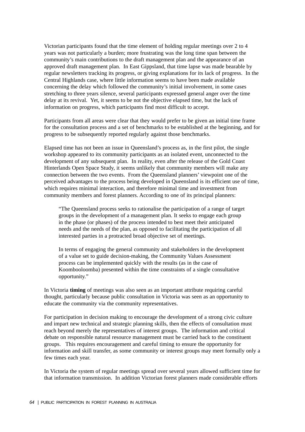Victorian participants found that the time element of holding regular meetings over 2 to 4 years was not particularly a burden; more frustrating was the long time span between the community's main contributions to the draft management plan and the appearance of an approved draft management plan. In East Gippsland, that time lapse was made bearable by regular newsletters tracking its progress, or giving explanations for its lack of progress. In the Central Highlands case, where little information seems to have been made available concerning the delay which followed the community's initial involvement, in some cases stretching to three years silence, several participants expressed general anger over the time delay at its revival. Yet, it seems to be not the objective elapsed time, but the lack of information on progress, which participants find most difficult to accept.

Participants from all areas were clear that they would prefer to be given an initial time frame for the consultation process and a set of benchmarks to be established at the beginning, and for progress to be subsequently reported regularly against those benchmarks.

Elapsed time has not been an issue in Queensland's process as, in the first pilot, the single workshop appeared to its community participants as an isolated event, unconnected to the development of any subsequent plan. In reality, even after the release of the Gold Coast Hinterlands Open Space Study, it seems unlikely that community members will make any connection between the two events. From the Queensland planners' viewpoint one of the perceived advantages to the process being developed in Queensland is its efficient use of time, which requires minimal interaction, and therefore minimal time and investment from community members and forest planners. According to one of its principal planners:

"The Queensland process seeks to rationalise the participation of a range of target groups in the development of a management plan. It seeks to engage each group in the phase (or phases) of the process intended to best meet their anticipated needs and the needs of the plan, as opposed to facilitating the participation of all interested parties in a protracted broad objective set of meetings.

In terms of engaging the general community and stakeholders in the development of a value set to guide decision-making, the Community Values Assessment process can be implemented quickly with the results (as in the case of Koombooloomba) presented within the time constraints of a single consultative opportunity."

In Victoria **timing** of meetings was also seen as an important attribute requiring careful thought, particularly because public consultation in Victoria was seen as an opportunity to educate the community via the community representatives.

For participation in decision making to encourage the development of a strong civic culture and impart new technical and strategic planning skills, then the effects of consultation must reach beyond merely the representatives of interest groups. The information and critical debate on responsible natural resource management must be carried back to the constituent groups. This requires encouragement and careful timing to ensure the opportunity for information and skill transfer, as some community or interest groups may meet formally only a few times each year.

In Victoria the system of regular meetings spread over several years allowed sufficient time for that information transmission. In addition Victorian forest planners made considerable efforts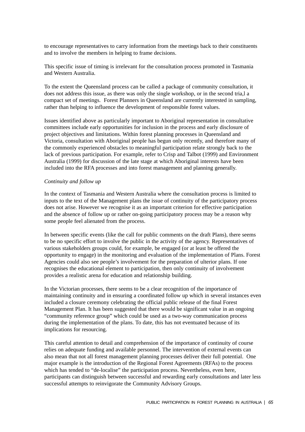to encourage representatives to carry information from the meetings back to their constituents and to involve the members in helping to frame decisions.

This specific issue of timing is irrelevant for the consultation process promoted in Tasmania and Western Australia.

To the extent the Queensland process can be called a package of community consultation, it does not address this issue, as there was only the single workshop, or in the second tria,l a compact set of meetings. Forest Planners in Queensland are currently interested in sampling, rather than helping to influence the development of responsible forest values.

Issues identified above as particularly important to Aboriginal representation in consultative committees include early opportunities for inclusion in the process and early disclosure of project objectives and limitations. Within forest planning processes in Queensland and Victoria, consultation with Aboriginal people has begun only recently, and therefore many of the commonly experienced obstacles to meaningful participation relate strongly back to the lack of previous participation. For example, refer to Crisp and Talbot (1999) and Environment Australia (1999) for discussion of the late stage at which Aboriginal interests have been included into the RFA processes and into forest management and planning generally.

#### *Continuity and follow up*

In the context of Tasmania and Western Australia where the consultation process is limited to inputs to the text of the Management plans the issue of continuity of the participatory process does not arise. However we recognise it as an important criterion for effective participation and the absence of follow up or rather on-going participatory process may be a reason why some people feel alienated from the process.

In between specific events (like the call for public comments on the draft Plans), there seems to be no specific effort to involve the public in the activity of the agency. Representatives of various stakeholders groups could, for example, be engaged (or at least be offered the opportunity to engage) in the monitoring and evaluation of the implementation of Plans. Forest Agencies could also see people's involvement for the preparation of ulterior plans. If one recognises the educational element to participation, then only continuity of involvement provides a realistic arena for education and relationship building.

In the Victorian processes, there seems to be a clear recognition of the importance of maintaining continuity and in ensuring a coordinated follow up which in several instances even included a closure ceremony celebrating the official public release of the final Forest Management Plan. It has been suggested that there would be significant value in an ongoing "community reference group" which could be used as a two-way communication process during the implementation of the plans. To date, this has not eventuated because of its implications for resourcing.

This careful attention to detail and comprehension of the importance of continuity of course relies on adequate funding and available personnel. The intervention of external events can also mean that not all forest management planning processes deliver their full potential. One major example is the introduction of the Regional Forest Agreements (RFAs) to the process which has tended to "de-localise" the participation process. Nevertheless, even here, participants can distinguish between successful and rewarding early consultations and later less successful attempts to reinvigorate the Community Advisory Groups.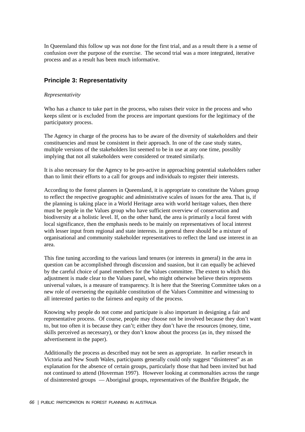In Queensland this follow up was not done for the first trial, and as a result there is a sense of confusion over the purpose of the exercise. The second trial was a more integrated, iterative process and as a result has been much informative.

## **Principle 3: Representativity**

#### *Representativity*

Who has a chance to take part in the process, who raises their voice in the process and who keeps silent or is excluded from the process are important questions for the legitimacy of the participatory process.

The Agency in charge of the process has to be aware of the diversity of stakeholders and their constituencies and must be consistent in their approach. In one of the case study states, multiple versions of the stakeholders list seemed to be in use at any one time, possibly implying that not all stakeholders were considered or treated similarly.

It is also necessary for the Agency to be pro-active in approaching potential stakeholders rather than to limit their efforts to a call for groups and individuals to register their interests.

According to the forest planners in Queensland, it is appropriate to constitute the Values group to reflect the respective geographic and administrative scales of issues for the area. That is, if the planning is taking place in a World Heritage area with world heritage values, then there must be people in the Values group who have sufficient overview of conservation and biodiversity at a holistic level. If, on the other hand, the area is primarily a local forest with local significance, then the emphasis needs to be mainly on representatives of local interest with lesser input from regional and state interests. in general there should be a mixture of organisational and community stakeholder representatives to reflect the land use interest in an area.

This fine tuning according to the various land tenures (or interests in general) in the area in question can be accomplished through discussion and suasion, but it can equally be achieved by the careful choice of panel members for the Values committee. The extent to which this adjustment is made clear to the Values panel, who might otherwise believe theirs represents universal values, is a measure of transparency. It is here that the Steering Committee takes on a new role of overseeing the equitable constitution of the Values Committee and witnessing to all interested parties to the fairness and equity of the process.

Knowing why people do not come and participate is also important in designing a fair and representative process. Of course, people may choose not be involved because they don't want to, but too often it is because they can't; either they don't have the resources (money, time, skills perceived as necessary), or they don't know about the process (as in, they missed the advertisement in the paper).

Additionally the process as described may not be seen as appropriate. In earlier research in Victoria and New South Wales, participants generally could only suggest "disinterest" as an explanation for the absence of certain groups, particularly those that had been invited but had not continued to attend (Hoverman 1997). However looking at commonalties across the range of disinterested groups — Aboriginal groups, representatives of the Bushfire Brigade, the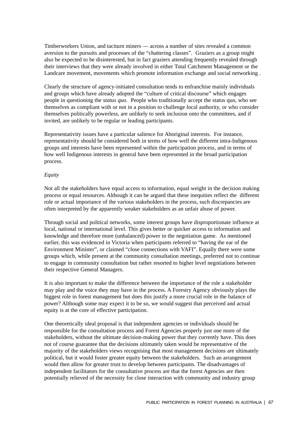Timberworkers Union, and taciturn miners — across a number of sites revealed a common aversion to the pursuits and processes of the "chattering classes". Graziers as a group might also be expected to be disinterested, but in fact graziers attending frequently revealed through their interviews that they were already involved in either Total Catchment Management or the Landcare movement, movements which promote information exchange and social networking .

Clearly the structure of agency-initiated consultation tends to enfranchise mainly individuals and groups which have already adopted the "culture of critical discourse" which engages people in questioning the *status quo*. People who traditionally accept the status quo, who see themselves as compliant with or not in a position to challenge local authority, or who consider themselves politically powerless, are unlikely to seek inclusion onto the committees, and if invited, are unlikely to be regular or leading participants.

Representativity issues have a particular salience for Aboriginal interests. For instance, representativity should be considered both in terms of how well the different intra-Indigenous groups and interests have been represented within the participation process, and in terms of how well Indigenous interests in general have been represented in the broad participation process.

#### *Equity*

Not all the stakeholders have equal access to information, equal weight in the decision making process or equal resources. Although it can be argued that these inequities reflect the different role or actual importance of the various stakeholders in the process, such discrepancies are often interpreted by the apparently weaker stakeholders as an unfair abuse of power.

Through social and political networks, some interest groups have disproportionate influence at local, national or international level. This gives better or quicker access to information and knowledge and therefore more (unbalanced) power in the negotiation game. As mentioned earlier, this was evidenced in Victoria when participants referred to "having the ear of the Environment Minister", or claimed "close connections with VAFI". Equally there were some groups which, while present at the community consultation meetings, preferred not to continue to engage in community consultation but rather resorted to higher level negotiations between their respective General Managers.

It is also important to make the difference between the importance of the role a stakeholder may play and the voice they may have in the process. A Forestry Agency obviously plays the biggest role in forest management but does this justify a more crucial role in the balance of power? Although some may expect it to be so, we would suggest that perceived and actual equity is at the core of effective participation.

One theoretically ideal proposal is that independent agencies or individuals should be responsible for the consultation process and Forest Agencies properly just one more of the stakeholders, without the ultimate decision-making power that they currently have. This does not of course guarantee that the decisions ultimately taken would be representative of the majority of the stakeholders views recognising that most management decisions are ultimately political, but it would foster greater equity between the stakeholders. Such an arrangement would then allow for greater trust to develop between participants. The disadvantages of independent facilitators for the consultative process are that the forest Agencies are then potentially relieved of the necessity for close interaction with community and industry group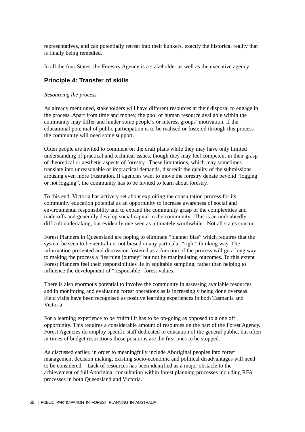representatives, and can potentially retreat into their bunkers, exactly the historical reality that is finally being remedied.

In all the four States, the Forestry Agency is a stakeholder as well as the executive agency.

## **Principle 4: Transfer of skills**

#### *Resourcing the process*

As already mentioned, stakeholders will have different resources at their disposal to engage in the process. Apart from time and money, the pool of human resource available within the community may differ and hinder some people's or interest groups' motivation. If the educational potential of public participation is to be realised or fostered through this process the community will need some support.

Often people are invited to comment on the draft plans while they may have only limited understanding of practical and technical issues, though they may feel competent in their grasp of theoretical or aesthetic aspects of forestry. These limitations, which may sometimes translate into unreasonable or impractical demands, discredit the quality of the submissions, arousing even more frustration. If agencies want to move the forestry debate beyond "logging or not logging", the community has to be invited to learn about forestry.

To this end, Victoria has actively set about exploiting the consultation process for its community education potential as an opportunity to increase awareness of social and environmental responsibility and to expand the community grasp of the complexities and trade-offs and generally develop social capital in the community. This is an undoubtedly difficult undertaking, but evidently one seen as ultimately worthwhile. Not all states concur.

Forest Planners in Queensland are hoping to eliminate "planner bias" which requires that the system be seen to be neutral i.e. not biased in any particular "right" thinking way. The information presented and discussion fostered as a function of the process will go a long way to making the process a "learning journey" but not by manipulating outcomes. To this extent Forest Planners feel their responsibilities lie in equitable sampling, rather than helping to influence the development of "responsible" forest values.

There is also enormous potential to involve the community in assessing available resources and in monitoring and evaluating forest operations as is increasingly being done overseas. Field visits have been recognised as positive learning experiences in both Tasmania and Victoria.

For a learning experience to be fruitful it has to be on-going as opposed to a one off opportunity. This requires a considerable amount of resources on the part of the Forest Agency. Forest Agencies do employ specific staff dedicated to education of the general public, but often in times of budget restrictions those positions are the first ones to be stopped.

As discussed earlier, in order to meaningfully include Aboriginal peoples into forest management decision making, existing socio-economic and political disadvantages will need to be considered. Lack of resources has been identified as a major obstacle to the achievement of full Aboriginal consultation within forest planning processes including RFA processes in both Queensland and Victoria.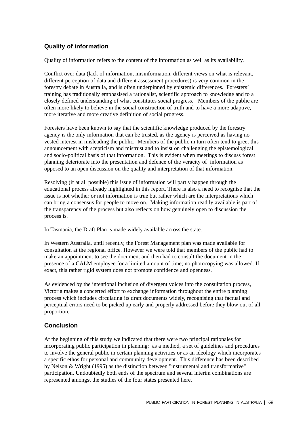## **Quality of information**

Quality of information refers to the content of the information as well as its availability.

Conflict over data (lack of information, misinformation, different views on what is relevant, different perception of data and different assessment procedures) is very common in the forestry debate in Australia, and is often underpinned by epistemic differences. Foresters' training has traditionally emphasised a rationalist, scientific approach to knowledge and to a closely defined understanding of what constitutes social progress. Members of the public are often more likely to believe in the social construction of truth and to have a more adaptive, more iterative and more creative definition of social progress.

Foresters have been known to say that the scientific knowledge produced by the forestry agency is the only information that can be trusted, as the agency is perceived as having no vested interest in misleading the public. Members of the public in turn often tend to greet this announcement with scepticism and mistrust and to insist on challenging the epistemological and socio-political basis of that information. This is evident when meetings to discuss forest planning deteriorate into the presentation and defence of the veracity of information as opposed to an open discussion on the quality and interpretation of that information.

Resolving (if at all possible) this issue of information will partly happen through the educational process already highlighted in this report. There is also a need to recognise that the issue is not whether or not information is true but rather which are the interpretations which can bring a consensus for people to move on. Making information readily available is part of the transparency of the process but also reflects on how genuinely open to discussion the process is.

In Tasmania, the Draft Plan is made widely available across the state.

In Western Australia, until recently, the Forest Management plan was made available for consultation at the regional office. However we were told that members of the public had to make an appointment to see the document and then had to consult the document in the presence of a CALM employee for a limited amount of time; no photocopying was allowed. If exact, this rather rigid system does not promote confidence and openness.

As evidenced by the intentional inclusion of divergent voices into the consultation process, Victoria makes a concerted effort to exchange information throughout the entire planning process which includes circulating its draft documents widely, recognising that factual and perceptual errors need to be picked up early and properly addressed before they blow out of all proportion.

## **Conclusion**

At the beginning of this study we indicated that there were two principal rationales for incorporating public participation in planning: as a method, a set of guidelines and procedures to involve the general public in certain planning activities or as an ideology which incorporates a specific ethos for personal and community development. This difference has been described by Nelson & Wright (1995) as the distinction between "instrumental and transformative" participation. Undoubtedly both ends of the spectrum and several interim combinations are represented amongst the studies of the four states presented here.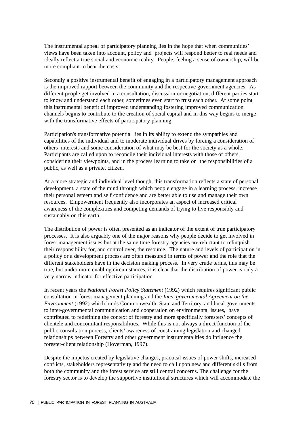The instrumental appeal of participatory planning lies in the hope that when communities' views have been taken into account, policy and projects will respond better to real needs and ideally reflect a true social and economic reality. People, feeling a sense of ownership, will be more compliant to bear the costs.

Secondly a positive instrumental benefit of engaging in a participatory management approach is the improved rapport between the community and the respective government agencies. As different people get involved in a consultation, discussion or negotiation, different parties start to know and understand each other, sometimes even start to trust each other. At some point this instrumental benefit of improved understanding fostering improved communication channels begins to contribute to the creation of social capital and in this way begins to merge with the transformative effects of participatory planning.

Participation's transformative potential lies in its ability to extend the sympathies and capabilities of the individual and to moderate individual drives by forcing a consideration of others' interests and some consideration of what may be best for the society as a whole. Participants are called upon to reconcile their individual interests with those of others, considering their viewpoints, and in the process learning to take on the responsibilities of a public, as well as a private, citizen.

At a more strategic and individual level though, this transformation reflects a state of personal development, a state of the mind through which people engage in a learning process, increase their personal esteem and self confidence and are better able to use and manage their own resources. Empowerment frequently also incorporates an aspect of increased critical awareness of the complexities and competing demands of trying to live responsibly and sustainably on this earth.

The distribution of power is often presented as an indicator of the extent of true participatory processes. It is also arguably one of the major reasons why people decide to get involved in forest management issues but at the same time forestry agencies are reluctant to relinquish their responsibility for, and control over, the resource. The nature and levels of participation in a policy or a development process are often measured in terms of power and the role that the different stakeholders have in the decision making process. In very crude terms, this may be true, but under more enabling circumstances, it is clear that the distribution of power is only a very narrow indicator for effective participation.

In recent years the *National Forest Policy Statement* (1992) which requires significant public consultation in forest management planning and the *Inter-governmental Agreement on the Environment* (1992) which binds Commonwealth, State and Territory, and local governments to inter-governmental communication and cooperation on environmental issues, have contributed to redefining the context of forestry and more specifically foresters' concepts of clientele and concomitant responsibilities. While this is not always a direct function of the public consultation process, clients' awareness of constraining legislation and changed relationships between Forestry and other government instrumentalities do influence the forester-client relationship (Hoverman, 1997).

Despite the impetus created by legislative changes, practical issues of power shifts, increased conflicts, stakeholders representativity and the need to call upon new and different skills from both the community and the forest service are still central concerns. The challenge for the forestry sector is to develop the supportive institutional structures which will accommodate the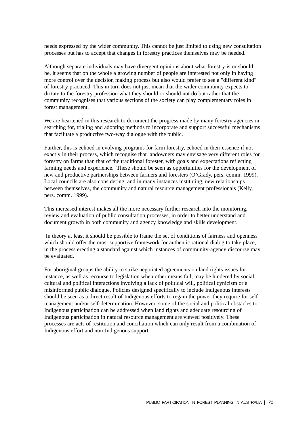needs expressed by the wider community. This cannot be just limited to using new consultation processes but has to accept that changes in forestry practices themselves may be needed.

Although separate individuals may have divergent opinions about what forestry is or should be, it seems that on the whole a growing number of people are interested not only in having more control over the decision making process but also would prefer to see a "different kind" of forestry practiced. This in turn does not just mean that the wider community expects to dictate to the forestry profession what they should or should not do but rather that the community recognises that various sections of the society can play complementary roles in forest management.

We are heartened in this research to document the progress made by many forestry agencies in searching for, trialing and adopting methods to incorporate and support successful mechanisms that facilitate a productive two-way dialogue with the public.

Further, this is echoed in evolving programs for farm forestry, echoed in their essence if not exactly in their process, which recognise that landowners may envisage very different roles for forestry on farms than that of the traditional forester, with goals and expectations reflecting farming needs and experience. These should be seen as opportunities for the development of new and productive partnerships between farmers and foresters (O'Grady, pers. comm. 1999). Local councils are also considering, and in many instances instituting, new relationships between themselves, the community and natural resource management professionals (Kelly, pers. comm. 1999).

This increased interest makes all the more necessary further research into the monitoring, review and evaluation of public consultation processes, in order to better understand and document growth in both community and agency knowledge and skills development.

In theory at least it should be possible to frame the set of conditions of fairness and openness which should offer the most supportive framework for authentic rational dialog to take place, in the process erecting a standard against which instances of community-agency discourse may be evaluated.

For aboriginal groups the ability to strike negotiated agreements on land rights issues for instance, as well as recourse to legislation when other means fail, may be hindered by social, cultural and political interactions involving a lack of political will, political cynicism or a misinformed public dialogue. Policies designed specifically to include Indigenous interests should be seen as a direct result of Indigenous efforts to regain the power they require for selfmanagement and/or self-determination. However, some of the social and political obstacles to Indigenous participation can be addressed when land rights and adequate resourcing of Indigenous participation in natural resource management are viewed positively. These processes are acts of restitution and conciliation which can only result from a combination of Indigenous effort and non-Indigenous support.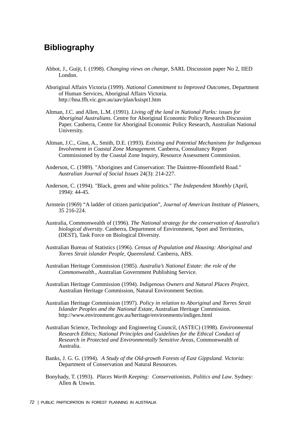## **Bibliography**

- Abbot, J., Guijt, I. (1998). *Changing views on change*, SARL Discussion paper No 2, IIED London.
- Aboriginal Affairs Victoria (1999). *National Commitment to Improved Outcomes*, Department of Human Services, Aboriginal Affairs Victoria. http://hna.ffh.vic.gov.au/aav/plan/ksispt1.htm
- Altman, J.C. and Allen, L.M. (1991). *Living off the land in National Parks: issues for Aboriginal Australians*. Centre for Aboriginal Economic Policy Research Discussion Paper. Canberra, Centre for Aboriginal Economic Policy Research, Australian National University.
- Altman, J.C., Ginn, A., Smith, D.E. (1993). *Existing and Potential Mechanisms for Indigenous Involvement in Coastal Zone Managemen*t. Canberra, Consultancy Report Commissioned by the Coastal Zone Inquiry, Resource Assessment Commission.
- Anderson, C. (1989). "Aborigines and Conservation: The Daintree-Bloomfield Road." *Australian Journal of Social Issues* 24(3): 214-227.
- Anderson, C. (1994). "Black, green and white politics." *The Independent Monthly* (April, 1994): 44-45.
- Arnstein (1969) "A ladder of citizen participation", *Journal of American Institute of Planners*, 35 216-224.
- Australia, Commonwealth of (1996). *The National strategy for the conservation of Australia's biological diversity*. Canberra, Department of Environment, Sport and Territories, (DEST), Task Force on Biological Diversity.
- Australian Bureau of Statistics (1996). *Census of Population and Housing: Aboriginal and Torres Strait islander People, Queensland*. Canberra, ABS.
- Australian Heritage Commission (1985). *Australia's National Estate: the role of the Commonwealth*., Australian Government Publishing Service.
- Australian Heritage Commission (1994). *Indigenous Owners and Natural Places Project*, Australian Heritage Commission, Natural Environment Section.
- Australian Heritage Commission (1997). *Policy in relation to Aboriginal and Torres Strait Islander Peoples and the National Estate*, Australian Heritage Commission. http://www.environment.gov.au/heritage/environments/indigen.html
- Australian Science, Technology and Engineering Council, (ASTEC) (1998). *Environmental Research Ethics; National Principles and Guidelines for the Ethical Conduct of Research in Protected and Environmentally Sensitive Areas*, Commonwealth of Australia.
- Banks, J. G. G. (1994). *A Study of the Old-growth Forests of East Gippsland. Victoria*: Department of Conservation and Natural Resources.
- Bonyhady, T. (1993). *Places Worth Keeping: Conservationists, Politics and Law*. Sydney: Allen & Unwin.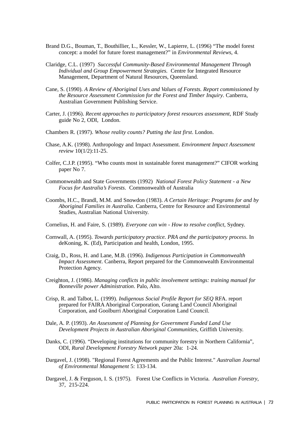- Brand D.G., Bouman, T., Bouthillier, L., Kessler, W., Lapierre, L. (1996) "The model forest concept: a model for future forest management?" in *Environmental Reviews*, 4.
- Claridge, C.L. (1997) *Successful Community-Based Environmental Management Through Individual and Group Empowerment Strategies.* Centre for Integrated Resource Management, Department of Natural Resources, Queensland.
- Cane, S. (1990). *A Review of Aboriginal Uses and Values of Forests. Report commissioned by the Resource Assessment Commission for the Forest and Timber Inquiry*. Canberra, Australian Government Publishing Service.
- Carter, J. (1996). *Recent approaches to participatory forest resources assessment*, RDF Study guide No 2, ODI, London.
- Chambers R. (1997). *Whose reality counts? Putting the last first*. London.
- Chase, A.K. (1998). Anthropology and Impact Assessment. *Environment Impact Assessment review* 10(1/2):11-25.
- Colfer, C.J.P. (1995). "Who counts most in sustainable forest management?" CIFOR working paper No 7.
- Commonwealth and State Governments (1992) *National Forest Policy Statement a New Focus for Australia's Forests*. Commonwealth of Australia
- Coombs, H.C., Brandl, M.M. and Snowdon (1983). *A Certain Heritage: Programs for and by Aboriginal Families in Australia*. Canberra, Centre for Resource and Environmental Studies, Australian National University.
- Cornelius, H. and Faire, S. (1989). *Everyone can win How to resolve conflict*, Sydney.
- Cornwall, A. (1995). *Towards participatory practice. PRA and the participatory process*. In deKoning, K. (Ed), Participation and health, London, 1995.
- Craig, D., Ross, H. and Lane, M.B. (1996). *Indigenous Participation in Commonwealth Impact Assessment*. Canberra, Report prepared for the Commonwealth Environmental Protection Agency.
- Creighton, J. (1986). *Managing conflicts in public involvement settings: training manual for Bonneville power Administration*. Palo, Alto.
- Crisp, R. and Talbot, L. (1999). *Indigenous Social Profile Report for SEQ* RFA. report prepared for FAIRA Aboriginal Corporation, Gurang Land Council Aboriginal Corporation, and Goolburri Aboriginal Corporation Land Council.
- Dale, A. P. (1993). *An Assessment of Planning for Government Funded Land Use Development Projects in Australian Aboriginal Communities*, Griffith University.
- Danks, C. (1996). "Developing institutions for community forestry in Northern California", ODI, *Rural Development Forestry Network paper* 20a: 1-24.
- Dargavel, J. (1998). "Regional Forest Agreements and the Public Interest." *Australian Journal of Environmental Management* 5: 133-134.
- Dargavel, J. & Ferguson, I. S. (1975). Forest Use Conflicts in Victoria. *Australian Forestry*, 37, 215-224.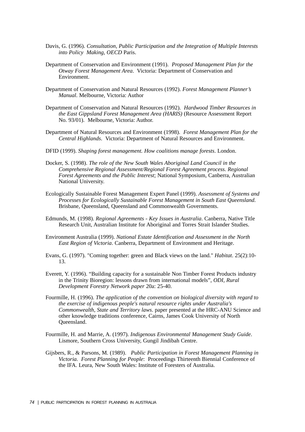- Davis, G. (1996). *Consultation, Public Participation and the Integration of Multiple Interests into Policy Making, OECD* Paris.
- Department of Conservation and Environment (1991). *Proposed Management Plan for the Otway Forest Management Area*. Victoria: Department of Conservation and Environment.
- Department of Conservation and Natural Resources (1992). *Forest Management Planner's Manual*. Melbourne, Victoria: Author
- Department of Conservation and Natural Resources (1992). *Hardwood Timber Resources in the East Gippsland Forest Management Area (HARIS)* (Resource Assessment Report No. 93/01). Melbourne, Victoria: Author.
- Department of Natural Resources and Environment (1998). *Forest Management Plan for the Central Highlands*. Victoria: Department of Natural Resources and Environment.
- DFID (1999). *Shaping forest management. How coalitions manage forests*. London.
- Docker, S. (1998). *The role of the New South Wales Aboriginal Land Council in the Comprehensive Regional Assessment/Regional Forest Agreement process. Regional Forest Agreements and the Public Interest*; National Symposium, Canberra, Australian National University.
- Ecologically Sustainable Forest Management Expert Panel (1999). *Assessment of Systems and Processes for Ecologically Sustainable Forest Management in South East Queensland.* Brisbane, Queensland, Queensland and Commonwealth Governments.
- Edmunds, M. (1998). *Regional Agreements Key Issues in Australia*. Canberra, Native Title Research Unit, Australian Institute for Aboriginal and Torres Strait Islander Studies.
- Environment Australia (1999). *National Estate Identification and Assessment in the North East Region of Victoria*. Canberra, Department of Environment and Heritage.
- Evans, G. (1997). "Coming together: green and Black views on the land." *Habitat*. 25(2):10- 13.
- Everett, Y. (1996). "Building capacity for a sustainable Non Timber Forest Products industry in the Trinity Bioregion: lessons drawn from international models", *ODI, Rural Development Forestry Network paper* 20a: 25-40.
- Fourmille, H. (1996). *The application of the convention on biological diversity with regard to the exercise of indigenous people's natural resource rights under Australia's Commonwealth, State and Territory laws*. paper presented at the HRC-ANU Science and other knowledge traditions conference, Cairns, James Cook University of North Queensland.
- Fourmille, H. and Marrie, A. (1997). *Indigenous Environmental Management Study Guide*. Lismore, Southern Cross University, Gungil Jindibah Centre.
- Gijsbers, R., & Parsons, M. (1989). *Public Participation in Forest Management Planning in Victoria. Forest Planning for People*: Proceedings Thirteenth Biennial Conference of the IFA. Leura, New South Wales: Institute of Foresters of Australia.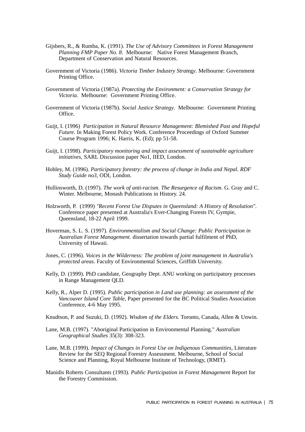- Gijsbers, R., & Rumba, K. (1991). *The Use of Advisory Committees in Forest Management Planning FMP Paper No. 8*. Melbourne: Native Forest Management Branch, Department of Conservation and Natural Resources.
- Government of Victoria (1986). *Victoria Timber Industry Strat*eg*y*. Melbourne: Government Printing Office.
- Government of Victoria (1987a). *Protecting the Environment: a Conservation Strategy for Victoria*. Melbourne: Government Printing Office.
- Government of Victoria (1987b). *Social Justice Strategy*. Melbourne: Government Printing Office.
- Guijt, I. (1996) *Participation in Natural Resource Management: Blemished Past and Hopeful Future.* In Making Forest Policy Work. Conference Proceedings of Oxford Summer Course Program 1996; K. Harris, K. (Ed); pp 51-58.
- Guijt, I. (1998). *Participatory monitoring and impact assessment of sustainable agriculture initiatives*, SARL Discussion paper No1, IIED, London.
- Hobley, M. (1996). *Participatory forestry: the process of change in India and Nepal. RDF Study Guide no3*, ODI, London.
- Hollinsworth, D. (1997). *The work of anti-racism. The Resurgence of Racism*. G. Gray and C. Winter. Melbourne, Monash Publications in History. 24.
- Holzworth, P. (1999) *"Recent Forest Use Disputes in Queensland: A History of Resolution"*. Conference paper presented at Australia's Ever-Changing Forests IV, Gympie, Queensland, 18-22 April 1999.
- Hoverman, S. L. S. (1997). *Environmentalism and Social Change: Public Participation in Australian Forest Management.* dissertation towards partial fulfilment of PhD, University of Hawaii.
- Jones, C. (1996). *Voices in the Wilderness: The problem of joint management in Australia's protected areas*. Faculty of Environmental Sciences, Griffith University.
- Kelly, D. (1999). PhD candidate, Geography Dept. ANU working on participatory processes in Range Management QLD.
- Kelly, R., Alper D. (1995). *Public participation in Land use planning: an assessment of the Vancouver Island Core Table*, Paper presented for the BC Political Studies Association Conference, 4-6 May 1995.

Knudtson, P. and Suzuki, D. (1992). *Wisdom of the Elders.* Toronto, Canada, Allen & Unwin.

- Lane, M.B. (1997). "Aboriginal Participation in Environmental Planning." *Australian Geographical Studies* 35(3): 308-323.
- Lane, M.B. (1999). *Impact of Changes in Forest Use on Indigenous Communities,* Literature Review for the SEQ Regional Forestry Assessment. Melbourne, School of Social Science and Planning, Royal Melbourne Institute of Technology, (RMIT).
- Manidis Roberts Consultants (1993). *Public Participation in Forest Management* Report for the Forestry Commission.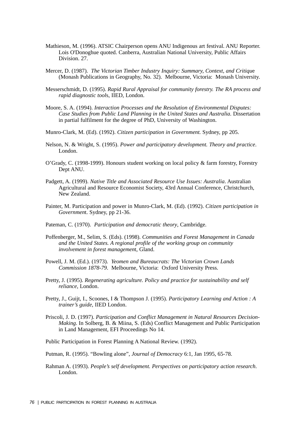- Mathieson, M. (1996). ATSIC Chairperson opens ANU Indigenous art festival. ANU Reporter. Lois O'Donoghue quoted. Canberra, Australian National University, Public Affairs Division. 27.
- Mercer, D. (1987). *The Victorian Timber Industry Inquiry: Summary, Context, and Critiqu*e (Monash Publications in Geography, No. 32). Melbourne, Victoria: Monash University.
- Messerschmidt, D. (1995). *Rapid Rural Appraisal for community forestry. The RA process and rapid diagnostic tool*s, IIED, London.
- Moore, S. A. (1994). *Interaction Processes and the Resolution of Environmental Disputes: Case Studies from Public Land Planning in the United States and Australia*. Dissertation in partial fulfilment for the degree of PhD, University of Washington.
- Munro-Clark, M. (Ed). (1992). *Citizen participation in Government.* Sydney, pp 205.
- Nelson, N. & Wright, S. (1995). *Power and participatory development. Theory and practice*. London.
- O'Grady, C. (1998-1999). Honours student working on local policy & farm forestry, Forestry Dept ANU.
- Padgett, A. (1999). *Native Title and Associated Resource Use Issues: Australia*. Australian Agricultural and Resource Economist Society, 43rd Annual Conference, Christchurch, New Zealand.
- Painter, M. Participation and power in Munro-Clark, M. (Ed). (1992). *Citizen participation in Governmen*t. Sydney, pp 21-36.
- Pateman, C. (1970). *Participation and democratic theory*, Cambridge.
- Poffenberger, M., Selim, S. (Eds). (1998). *Communities and Forest Management in Canada and the United States. A regional profile of the working group on community involvement in forest managemen*t, Gland.
- Powell, J. M. (Ed.). (1973). *Yeomen and Bureaucrats: The Victorian Crown Lands Commission 1878-79*. Melbourne, Victoria: Oxford University Press.
- Pretty, J. (1995). *Regenerating agriculture. Policy and practice for sustainability and self reliance*, London.
- Pretty, J., Guijt, I., Scoones, I & Thompson J. (1995). *Participatory Learning and Action : A trainer's guide*, IIED London.
- Priscoli, J. D. (1997). *Participation and Conflict Management in Natural Resources Decision-Making*. In Solberg, B. & Miina, S. (Eds) Conflict Management and Public Participation in Land Management, EFI Proceedings No 14.

Public Participation in Forest Planning A National Review. (1992).

Putman, R. (1995). "Bowling alone", *Journal of Democracy* 6:1, Jan 1995, 65-78.

Rahman A. (1993). *People's self development. Perspectives on participatory action research*. London.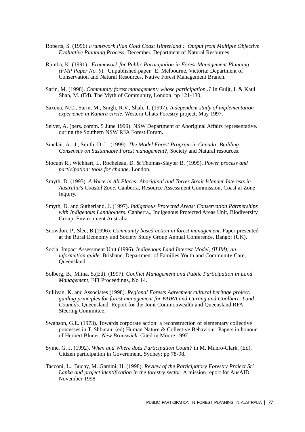- Roberts, S. (1996) *Framework Plan Gold Coast Hinterland : Output from Multiple Objective Evaluative Planning Process*, December, Department of Natural Resources.
- Rumba, K. (1991). *Framework for Public Participation in Forest Management Planning (FMP Paper No. 9*). Unpublished paper. E. Melbourne, Victoria: Department of Conservation and Natural Resources, Native Forest Management Branch.
- Sarin, M. (1998). *Community forest management: whose participation..?* In Guijt, I. & Kaul Shah, M. (Ed). The Myth of Community, London, pp 121-130.
- Saxena, N.C., Sarin, M., Singh, R.V., Shah, T. (1997). *Independent study of implementation experience in Kanara circle,* Western Ghats Forestry project, May 1997.
- Seiver, A. (pers. comm. 5 June 1999). NSW Department of Aboriginal Affairs representative. during the Southern NSW RFA Forest Forum.
- Sinclair, A., J., Smith, D. L. (1999). *The Model Forest Program in Canada: Building Consensus on Sustainable Forest management?*, Society and Natural resources.
- Slocum R., Wichhart, L. Rocheleau, D. & Thomas-Slayter B. (1995). *Power process and participation: tools for change*. London.
- Smyth, D. (1993). *A Voice in All Places: Aboriginal and Torres Strait Islander Interests in Australia's Coastal Zone*. Canberra, Resource Assessment Commission, Coast al Zone Inquiry.
- Smyth, D. and Sutherland, J. (1997). *Indigenous Protected Areas: Conservation Partnerships with Indigenous Landholders*. Canberra., Indigenous Protected Areas Unit, Biodiversity Group, Environment Australia.
- Snowdon, P., Slee, B (1996). *Community based action in forest management*. Paper presented at the Rural Economy and Society Study Group Annual Conference, Bangor (UK).
- Social Impact Assessment Unit (1996). *Indigenous Land Interest Model, (ILIM); an information guide*. Brisbane, Department of Families Youth and Community Care, Queensland.
- Solberg, B., Miina, S.(Ed). (1997). *Conflict Management and Public Participation in Land Management*, EFI Proceedings, No 14.
- Sullivan, K. and Associates (1998). *Regional Forests Agreement cultural heritage project: guiding principles for forest management for FAIRA and Gurang and Goolburri Land Councils.* Queensland. Report for the Joint Commonwealth and Queensland RFA Steering Committee.
- Swanson, G.E. (1973). Towards corporate action: a reconstruction of elementary collective processes in T. Shbutani (ed) Human Nature & Collective Behaviour: Papers in honour of Herbert Bluner. *New Brunswick*: Cited in Moore 1997.
- Syme, G. J. (1992). *When and Where does Participation Count?* in M. Munro-Clark, (Ed), Citizen participation in Government, Sydney; pp 78-98.
- Tacconi, L., Buchy, M. Gamini, H. (1998). *Review of the Participatory Forestry Project Sri Lanka and project identification in the forestry sector*. A mission report for AusAID, November 1998.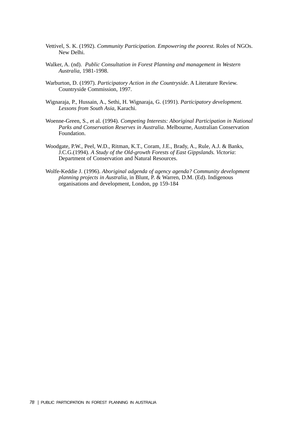- Vettivel, S. K. (1992). *Community Participation. Empowering the poorest.* Roles of NGOs. New Delhi.
- Walker, A. (nd). *Public Consultation in Forest Planning and management in Western Australia*, 1981-1998.
- Warburton, D. (1997). *Participatory Action in the Countryside*. A Literature Review. Countryside Commission, 1997.
- Wignaraja, P., Hussain, A., Sethi, H. Wignaraja, G. (1991). *Participatory development. Lessons from South Asia*, Karachi.
- Woenne-Green, S., et al. (1994). *Competing Interests: Aboriginal Participation in National Parks and Conservation Reserves in Australia*. Melbourne, Australian Conservation Foundation.
- Woodgate, P.W., Peel, W.D., Ritman, K.T., Coram, J.E., Brady, A., Rule, A.J. & Banks, J.C.G.(1994). *A Study of the Old-growth Forests of East Gippslands. Victoria*: Department of Conservation and Natural Resources.
- Wolfe-Keddie J. (1996). *Aboriginal adgenda of agency agenda? Community development planning projects in Australia*, in Blunt, P. & Warren, D.M. (Ed). Indigenous organisations and development, London, pp 159-184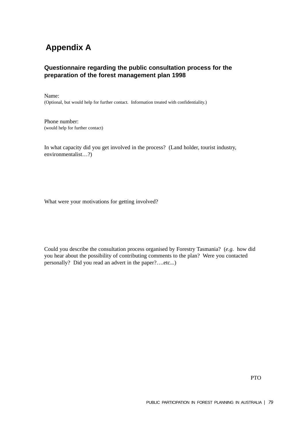## **Appendix A**

## **Questionnaire regarding the public consultation process for the preparation of the forest management plan 1998**

Name: (Optional, but would help for further contact. Information treated with confidentiality.)

Phone number: (would help for further contact)

In what capacity did you get involved in the process? (Land holder, tourist industry, environmentalist…?)

What were your motivations for getting involved?

Could you describe the consultation process organised by Forestry Tasmania? (*e.g*. how did you hear about the possibility of contributing comments to the plan? Were you contacted personally? Did you read an advert in the paper?….etc...)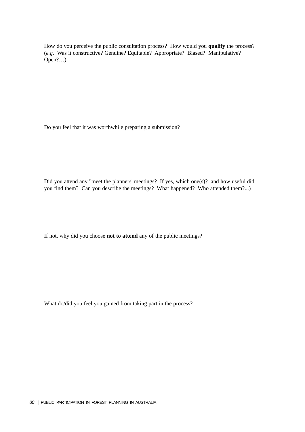How do you perceive the public consultation process? How would you **qualify** the process? (*e.g*. Was it constructive? Genuine? Equitable? Appropriate? Biased? Manipulative? Open?…)

Do you feel that it was worthwhile preparing a submission?

Did you attend any "meet the planners' meetings? If yes, which one(s)? and how useful did you find them? Can you describe the meetings? What happened? Who attended them?...)

If not, why did you choose **not to attend** any of the public meetings?

What do/did you feel you gained from taking part in the process?